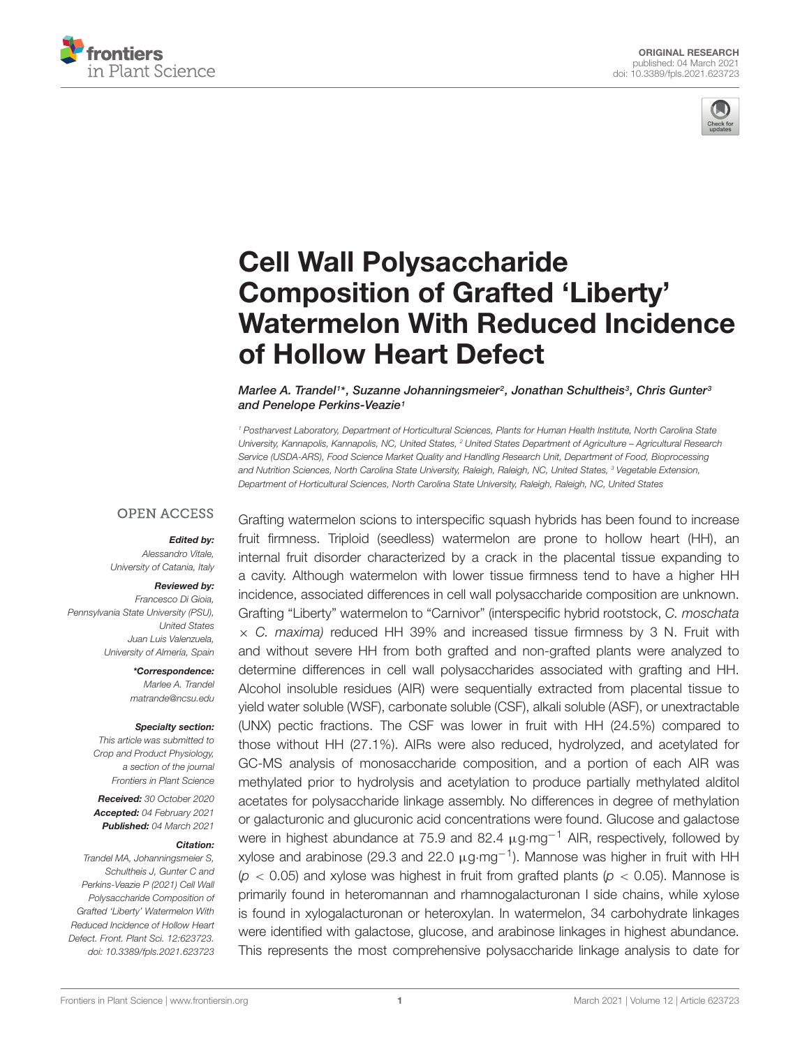



# Cell Wall Polysaccharide Composition of Grafted 'Liberty' [Watermelon With Reduced Incidence](https://www.frontiersin.org/articles/10.3389/fpls.2021.623723/full) of Hollow Heart Defect

#### Marlee A. Trandel1\*, Suzanne Johanningsmeier<sup>2</sup>, Jonathan Schultheis<sup>3</sup>, Chris Gunter<sup>s</sup> and Penelope Perkins-Veazie<sup>1</sup>

<sup>1</sup> Postharvest Laboratory, Department of Horticultural Sciences, Plants for Human Health Institute, North Carolina State University, Kannapolis, Kannapolis, NC, United States, <sup>2</sup> United States Department of Agriculture – Agricultural Research Service (USDA-ARS), Food Science Market Quality and Handling Research Unit, Department of Food, Bioprocessing and Nutrition Sciences, North Carolina State University, Raleigh, Raleigh, NC, United States, <sup>3</sup> Vegetable Extension, Department of Horticultural Sciences, North Carolina State University, Raleigh, Raleigh, NC, United States

#### **OPEN ACCESS**

#### Edited by:

Alessandro Vitale, University of Catania, Italy

#### Reviewed by:

Francesco Di Gioia, Pennsylvania State University (PSU), United States Juan Luis Valenzuela, University of Almería, Spain

> \*Correspondence: Marlee A. Trandel matrande@ncsu.edu

#### Specialty section:

This article was submitted to Crop and Product Physiology, a section of the journal Frontiers in Plant Science

Received: 30 October 2020 Accepted: 04 February 2021 Published: 04 March 2021

#### Citation:

Trandel MA, Johanningsmeier S, Schultheis J, Gunter C and Perkins-Veazie P (2021) Cell Wall Polysaccharide Composition of Grafted 'Liberty' Watermelon With Reduced Incidence of Hollow Heart Defect. Front. Plant Sci. 12:623723. doi: [10.3389/fpls.2021.623723](https://doi.org/10.3389/fpls.2021.623723) Grafting watermelon scions to interspecific squash hybrids has been found to increase fruit firmness. Triploid (seedless) watermelon are prone to hollow heart (HH), an internal fruit disorder characterized by a crack in the placental tissue expanding to a cavity. Although watermelon with lower tissue firmness tend to have a higher HH incidence, associated differences in cell wall polysaccharide composition are unknown. Grafting "Liberty" watermelon to "Carnivor" (interspecific hybrid rootstock, C. moschata  $\times$  C. maxima) reduced HH 39% and increased tissue firmness by 3 N. Fruit with and without severe HH from both grafted and non-grafted plants were analyzed to determine differences in cell wall polysaccharides associated with grafting and HH. Alcohol insoluble residues (AIR) were sequentially extracted from placental tissue to yield water soluble (WSF), carbonate soluble (CSF), alkali soluble (ASF), or unextractable (UNX) pectic fractions. The CSF was lower in fruit with HH (24.5%) compared to those without HH (27.1%). AIRs were also reduced, hydrolyzed, and acetylated for GC-MS analysis of monosaccharide composition, and a portion of each AIR was methylated prior to hydrolysis and acetylation to produce partially methylated alditol acetates for polysaccharide linkage assembly. No differences in degree of methylation or galacturonic and glucuronic acid concentrations were found. Glucose and galactose were in highest abundance at 75.9 and 82.4 μg⋅mg<sup>-1</sup> AIR, respectively, followed by xylose and arabinose (29.3 and 22.0  $\mu$ g·mg<sup>-1</sup>). Mannose was higher in fruit with HH  $(p < 0.05)$  and xylose was highest in fruit from grafted plants  $(p < 0.05)$ . Mannose is primarily found in heteromannan and rhamnogalacturonan I side chains, while xylose is found in xylogalacturonan or heteroxylan. In watermelon, 34 carbohydrate linkages were identified with galactose, glucose, and arabinose linkages in highest abundance. This represents the most comprehensive polysaccharide linkage analysis to date for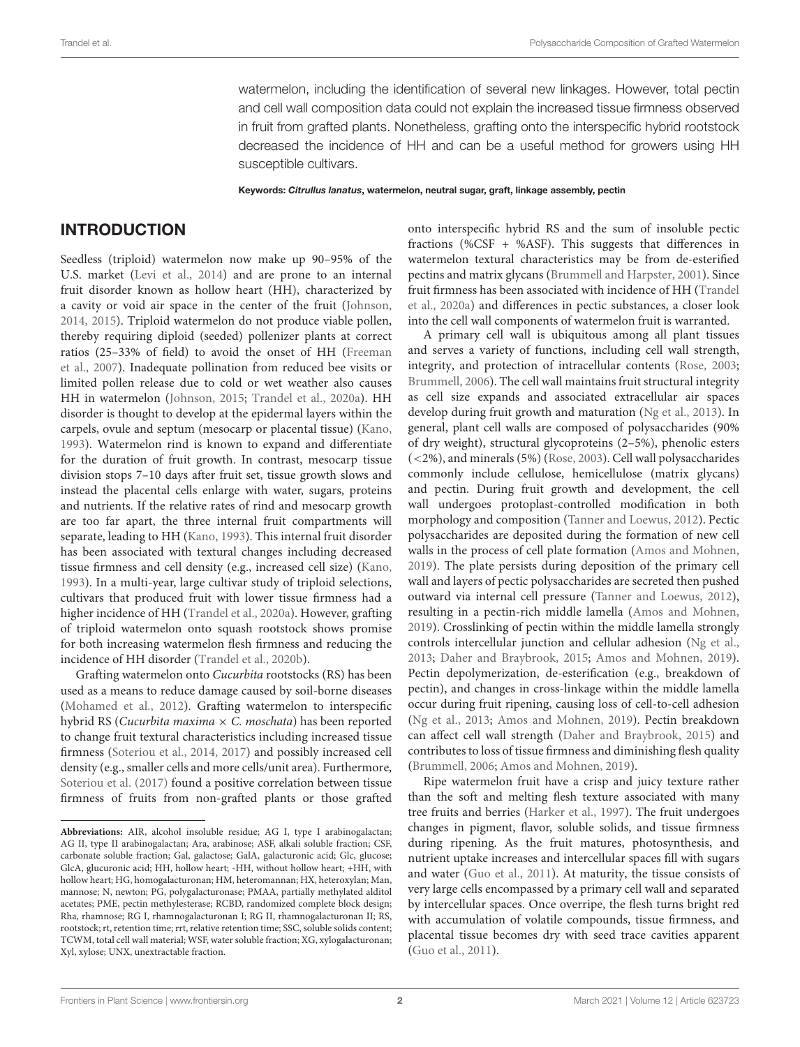watermelon, including the identification of several new linkages. However, total pectin and cell wall composition data could not explain the increased tissue firmness observed in fruit from grafted plants. Nonetheless, grafting onto the interspecific hybrid rootstock decreased the incidence of HH and can be a useful method for growers using HH susceptible cultivars.

Keywords: Citrullus lanatus, watermelon, neutral sugar, graft, linkage assembly, pectin

#### INTRODUCTION

Seedless (triploid) watermelon now make up 90–95% of the U.S. market [\(Levi et al.,](#page-16-0) [2014\)](#page-16-0) and are prone to an internal fruit disorder known as hollow heart (HH), characterized by a cavity or void air space in the center of the fruit [\(Johnson,](#page-16-1) [2014,](#page-16-1) [2015\)](#page-16-2). Triploid watermelon do not produce viable pollen, thereby requiring diploid (seeded) pollenizer plants at correct ratios (25–33% of field) to avoid the onset of HH [\(Freeman](#page-16-3) [et al.,](#page-16-3) [2007\)](#page-16-3). Inadequate pollination from reduced bee visits or limited pollen release due to cold or wet weather also causes HH in watermelon [\(Johnson,](#page-16-2) [2015;](#page-16-2) [Trandel et al.,](#page-17-0) [2020a\)](#page-17-0). HH disorder is thought to develop at the epidermal layers within the carpels, ovule and septum (mesocarp or placental tissue) [\(Kano,](#page-16-4) [1993\)](#page-16-4). Watermelon rind is known to expand and differentiate for the duration of fruit growth. In contrast, mesocarp tissue division stops 7–10 days after fruit set, tissue growth slows and instead the placental cells enlarge with water, sugars, proteins and nutrients. If the relative rates of rind and mesocarp growth are too far apart, the three internal fruit compartments will separate, leading to HH [\(Kano,](#page-16-4) [1993\)](#page-16-4). This internal fruit disorder has been associated with textural changes including decreased tissue firmness and cell density (e.g., increased cell size) [\(Kano,](#page-16-4) [1993\)](#page-16-4). In a multi-year, large cultivar study of triploid selections, cultivars that produced fruit with lower tissue firmness had a higher incidence of HH [\(Trandel et al.,](#page-17-0) [2020a\)](#page-17-0). However, grafting of triploid watermelon onto squash rootstock shows promise for both increasing watermelon flesh firmness and reducing the incidence of HH disorder [\(Trandel et al.,](#page-17-1) [2020b\)](#page-17-1).

Grafting watermelon onto Cucurbita rootstocks (RS) has been used as a means to reduce damage caused by soil-borne diseases [\(Mohamed et al.,](#page-17-2) [2012\)](#page-17-2). Grafting watermelon to interspecific hybrid RS (Cucurbita maxima  $\times$  C. moschata) has been reported to change fruit textural characteristics including increased tissue firmness [\(Soteriou et al.,](#page-17-3) [2014,](#page-17-3) [2017\)](#page-17-4) and possibly increased cell density (e.g., smaller cells and more cells/unit area). Furthermore, [Soteriou et al.](#page-17-4) [\(2017\)](#page-17-4) found a positive correlation between tissue firmness of fruits from non-grafted plants or those grafted

onto interspecific hybrid RS and the sum of insoluble pectic fractions (%CSF + %ASF). This suggests that differences in watermelon textural characteristics may be from de-esterified pectins and matrix glycans [\(Brummell and Harpster,](#page-16-5) [2001\)](#page-16-5). Since fruit firmness has been associated with incidence of HH [\(Trandel](#page-17-0) [et al.,](#page-17-0) [2020a\)](#page-17-0) and differences in pectic substances, a closer look into the cell wall components of watermelon fruit is warranted.

A primary cell wall is ubiquitous among all plant tissues and serves a variety of functions, including cell wall strength, integrity, and protection of intracellular contents [\(Rose,](#page-17-5) [2003;](#page-17-5) [Brummell,](#page-16-6) [2006\)](#page-16-6). The cell wall maintains fruit structural integrity as cell size expands and associated extracellular air spaces develop during fruit growth and maturation [\(Ng et al.,](#page-17-6) [2013\)](#page-17-6). In general, plant cell walls are composed of polysaccharides (90% of dry weight), structural glycoproteins (2–5%), phenolic esters (<2%), and minerals (5%) [\(Rose,](#page-17-5) [2003\)](#page-17-5). Cell wall polysaccharides commonly include cellulose, hemicellulose (matrix glycans) and pectin. During fruit growth and development, the cell wall undergoes protoplast-controlled modification in both morphology and composition [\(Tanner and Loewus,](#page-17-7) [2012\)](#page-17-7). Pectic polysaccharides are deposited during the formation of new cell walls in the process of cell plate formation [\(Amos and Mohnen,](#page-15-0) [2019\)](#page-15-0). The plate persists during deposition of the primary cell wall and layers of pectic polysaccharides are secreted then pushed outward via internal cell pressure [\(Tanner and Loewus,](#page-17-7) [2012\)](#page-17-7), resulting in a pectin-rich middle lamella [\(Amos and Mohnen,](#page-15-0) [2019\)](#page-15-0). Crosslinking of pectin within the middle lamella strongly controls intercellular junction and cellular adhesion [\(Ng et al.,](#page-17-6) [2013;](#page-17-6) [Daher and Braybrook,](#page-16-7) [2015;](#page-16-7) [Amos and Mohnen,](#page-15-0) [2019\)](#page-15-0). Pectin depolymerization, de-esterification (e.g., breakdown of pectin), and changes in cross-linkage within the middle lamella occur during fruit ripening, causing loss of cell-to-cell adhesion [\(Ng et al.,](#page-17-6) [2013;](#page-17-6) [Amos and Mohnen,](#page-15-0) [2019\)](#page-15-0). Pectin breakdown can affect cell wall strength [\(Daher and Braybrook,](#page-16-7) [2015\)](#page-16-7) and contributes to loss of tissue firmness and diminishing flesh quality [\(Brummell,](#page-16-6) [2006;](#page-16-6) [Amos and Mohnen,](#page-15-0) [2019\)](#page-15-0).

Ripe watermelon fruit have a crisp and juicy texture rather than the soft and melting flesh texture associated with many tree fruits and berries [\(Harker et al.,](#page-16-8) [1997\)](#page-16-8). The fruit undergoes changes in pigment, flavor, soluble solids, and tissue firmness during ripening. As the fruit matures, photosynthesis, and nutrient uptake increases and intercellular spaces fill with sugars and water [\(Guo et al.,](#page-16-9) [2011\)](#page-16-9). At maturity, the tissue consists of very large cells encompassed by a primary cell wall and separated by intercellular spaces. Once overripe, the flesh turns bright red with accumulation of volatile compounds, tissue firmness, and placental tissue becomes dry with seed trace cavities apparent [\(Guo et al.,](#page-16-9) [2011\)](#page-16-9).

**Abbreviations:** AIR, alcohol insoluble residue; AG I, type I arabinogalactan; AG II, type II arabinogalactan; Ara, arabinose; ASF, alkali soluble fraction; CSF, carbonate soluble fraction; Gal, galactose; GalA, galacturonic acid; Glc, glucose; GlcA, glucuronic acid; HH, hollow heart; -HH, without hollow heart; +HH, with hollow heart; HG, homogalacturonan; HM, heteromannan; HX, heteroxylan; Man, mannose; N, newton; PG, polygalacturonase; PMAA, partially methylated alditol acetates; PME, pectin methylesterase; RCBD, randomized complete block design; Rha, rhamnose; RG I, rhamnogalacturonan I; RG II, rhamnogalacturonan II; RS, rootstock; rt, retention time; rrt, relative retention time; SSC, soluble solids content; TCWM, total cell wall material; WSF, water soluble fraction; XG, xylogalacturonan; Xyl, xylose; UNX, unextractable fraction.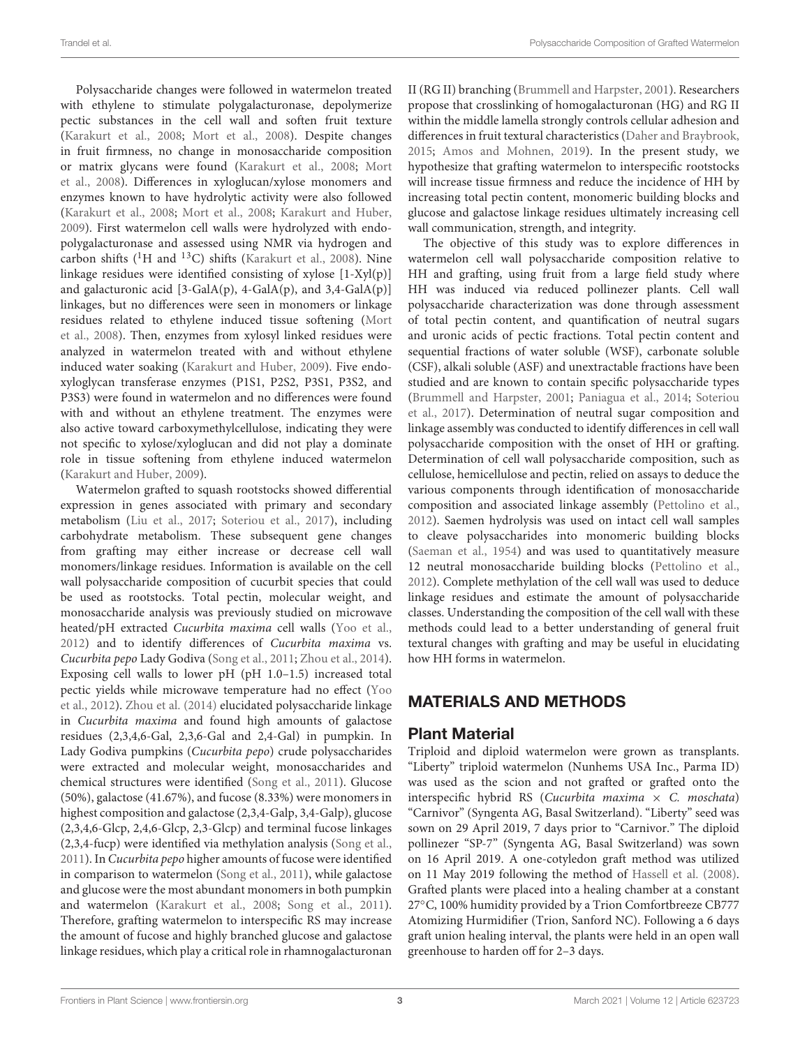Polysaccharide changes were followed in watermelon treated with ethylene to stimulate polygalacturonase, depolymerize pectic substances in the cell wall and soften fruit texture [\(Karakurt et al.,](#page-16-10) [2008;](#page-16-10) [Mort et al.,](#page-17-8) [2008\)](#page-17-8). Despite changes in fruit firmness, no change in monosaccharide composition or matrix glycans were found [\(Karakurt et al.,](#page-16-10) [2008;](#page-16-10) [Mort](#page-17-8) [et al.,](#page-17-8) [2008\)](#page-17-8). Differences in xyloglucan/xylose monomers and enzymes known to have hydrolytic activity were also followed [\(Karakurt et al.,](#page-16-10) [2008;](#page-16-10) [Mort et al.,](#page-17-8) [2008;](#page-17-8) [Karakurt and Huber,](#page-16-11) [2009\)](#page-16-11). First watermelon cell walls were hydrolyzed with endopolygalacturonase and assessed using NMR via hydrogen and carbon shifts ( ${}^{1}$ H and  ${}^{13}$ C) shifts [\(Karakurt et al.,](#page-16-10) [2008\)](#page-16-10). Nine linkage residues were identified consisting of xylose [1-Xyl(p)] and galacturonic acid [3-GalA(p), 4-GalA(p), and 3,4-GalA(p)] linkages, but no differences were seen in monomers or linkage residues related to ethylene induced tissue softening [\(Mort](#page-17-8) [et al.,](#page-17-8) [2008\)](#page-17-8). Then, enzymes from xylosyl linked residues were analyzed in watermelon treated with and without ethylene induced water soaking [\(Karakurt and Huber,](#page-16-11) [2009\)](#page-16-11). Five endoxyloglycan transferase enzymes (P1S1, P2S2, P3S1, P3S2, and P3S3) were found in watermelon and no differences were found with and without an ethylene treatment. The enzymes were also active toward carboxymethylcellulose, indicating they were not specific to xylose/xyloglucan and did not play a dominate role in tissue softening from ethylene induced watermelon [\(Karakurt and Huber,](#page-16-11) [2009\)](#page-16-11).

Watermelon grafted to squash rootstocks showed differential expression in genes associated with primary and secondary metabolism [\(Liu et al.,](#page-16-12) [2017;](#page-16-12) [Soteriou et al.,](#page-17-4) [2017\)](#page-17-4), including carbohydrate metabolism. These subsequent gene changes from grafting may either increase or decrease cell wall monomers/linkage residues. Information is available on the cell wall polysaccharide composition of cucurbit species that could be used as rootstocks. Total pectin, molecular weight, and monosaccharide analysis was previously studied on microwave heated/pH extracted Cucurbita maxima cell walls [\(Yoo et al.,](#page-18-0) [2012\)](#page-18-0) and to identify differences of Cucurbita maxima vs. Cucurbita pepo Lady Godiva [\(Song et al.,](#page-17-9) [2011;](#page-17-9) [Zhou et al.,](#page-18-1) [2014\)](#page-18-1). Exposing cell walls to lower pH (pH 1.0–1.5) increased total pectic yields while microwave temperature had no effect [\(Yoo](#page-18-0) [et al.,](#page-18-0) [2012\)](#page-18-0). [Zhou et al.](#page-18-1) [\(2014\)](#page-18-1) elucidated polysaccharide linkage in Cucurbita maxima and found high amounts of galactose residues (2,3,4,6-Gal, 2,3,6-Gal and 2,4-Gal) in pumpkin. In Lady Godiva pumpkins (Cucurbita pepo) crude polysaccharides were extracted and molecular weight, monosaccharides and chemical structures were identified [\(Song et al.,](#page-17-9) [2011\)](#page-17-9). Glucose (50%), galactose (41.67%), and fucose (8.33%) were monomers in highest composition and galactose (2,3,4-Galp, 3,4-Galp), glucose (2,3,4,6-Glcp, 2,4,6-Glcp, 2,3-Glcp) and terminal fucose linkages (2,3,4-fucp) were identified via methylation analysis [\(Song et al.,](#page-17-9) [2011\)](#page-17-9). In Cucurbita pepo higher amounts of fucose were identified in comparison to watermelon [\(Song et al.,](#page-17-9) [2011\)](#page-17-9), while galactose and glucose were the most abundant monomers in both pumpkin and watermelon [\(Karakurt et al.,](#page-16-10) [2008;](#page-16-10) [Song et al.,](#page-17-9) [2011\)](#page-17-9). Therefore, grafting watermelon to interspecific RS may increase the amount of fucose and highly branched glucose and galactose linkage residues, which play a critical role in rhamnogalacturonan

II (RG II) branching [\(Brummell and Harpster,](#page-16-5) [2001\)](#page-16-5). Researchers propose that crosslinking of homogalacturonan (HG) and RG II within the middle lamella strongly controls cellular adhesion and differences in fruit textural characteristics [\(Daher and Braybrook,](#page-16-7) [2015;](#page-16-7) [Amos and Mohnen,](#page-15-0) [2019\)](#page-15-0). In the present study, we hypothesize that grafting watermelon to interspecific rootstocks will increase tissue firmness and reduce the incidence of HH by increasing total pectin content, monomeric building blocks and glucose and galactose linkage residues ultimately increasing cell wall communication, strength, and integrity.

The objective of this study was to explore differences in watermelon cell wall polysaccharide composition relative to HH and grafting, using fruit from a large field study where HH was induced via reduced pollinezer plants. Cell wall polysaccharide characterization was done through assessment of total pectin content, and quantification of neutral sugars and uronic acids of pectic fractions. Total pectin content and sequential fractions of water soluble (WSF), carbonate soluble (CSF), alkali soluble (ASF) and unextractable fractions have been studied and are known to contain specific polysaccharide types [\(Brummell and Harpster,](#page-16-5) [2001;](#page-16-5) [Paniagua et al.,](#page-17-10) [2014;](#page-17-10) [Soteriou](#page-17-4) [et al.,](#page-17-4) [2017\)](#page-17-4). Determination of neutral sugar composition and linkage assembly was conducted to identify differences in cell wall polysaccharide composition with the onset of HH or grafting. Determination of cell wall polysaccharide composition, such as cellulose, hemicellulose and pectin, relied on assays to deduce the various components through identification of monosaccharide composition and associated linkage assembly [\(Pettolino et al.,](#page-17-11) [2012\)](#page-17-11). Saemen hydrolysis was used on intact cell wall samples to cleave polysaccharides into monomeric building blocks [\(Saeman et al.,](#page-17-12) [1954\)](#page-17-12) and was used to quantitatively measure 12 neutral monosaccharide building blocks [\(Pettolino et al.,](#page-17-11) [2012\)](#page-17-11). Complete methylation of the cell wall was used to deduce linkage residues and estimate the amount of polysaccharide classes. Understanding the composition of the cell wall with these methods could lead to a better understanding of general fruit textural changes with grafting and may be useful in elucidating how HH forms in watermelon.

### MATERIALS AND METHODS

#### Plant Material

Triploid and diploid watermelon were grown as transplants. "Liberty" triploid watermelon (Nunhems USA Inc., Parma ID) was used as the scion and not grafted or grafted onto the interspecific hybrid RS (Cucurbita maxima  $\times$  C. moschata) "Carnivor" (Syngenta AG, Basal Switzerland). "Liberty" seed was sown on 29 April 2019, 7 days prior to "Carnivor." The diploid pollinezer "SP-7" (Syngenta AG, Basal Switzerland) was sown on 16 April 2019. A one-cotyledon graft method was utilized on 11 May 2019 following the method of [Hassell et al.](#page-16-13) [\(2008\)](#page-16-13). Grafted plants were placed into a healing chamber at a constant 27◦C, 100% humidity provided by a Trion Comfortbreeze CB777 Atomizing Hurmidifier (Trion, Sanford NC). Following a 6 days graft union healing interval, the plants were held in an open wall greenhouse to harden off for 2–3 days.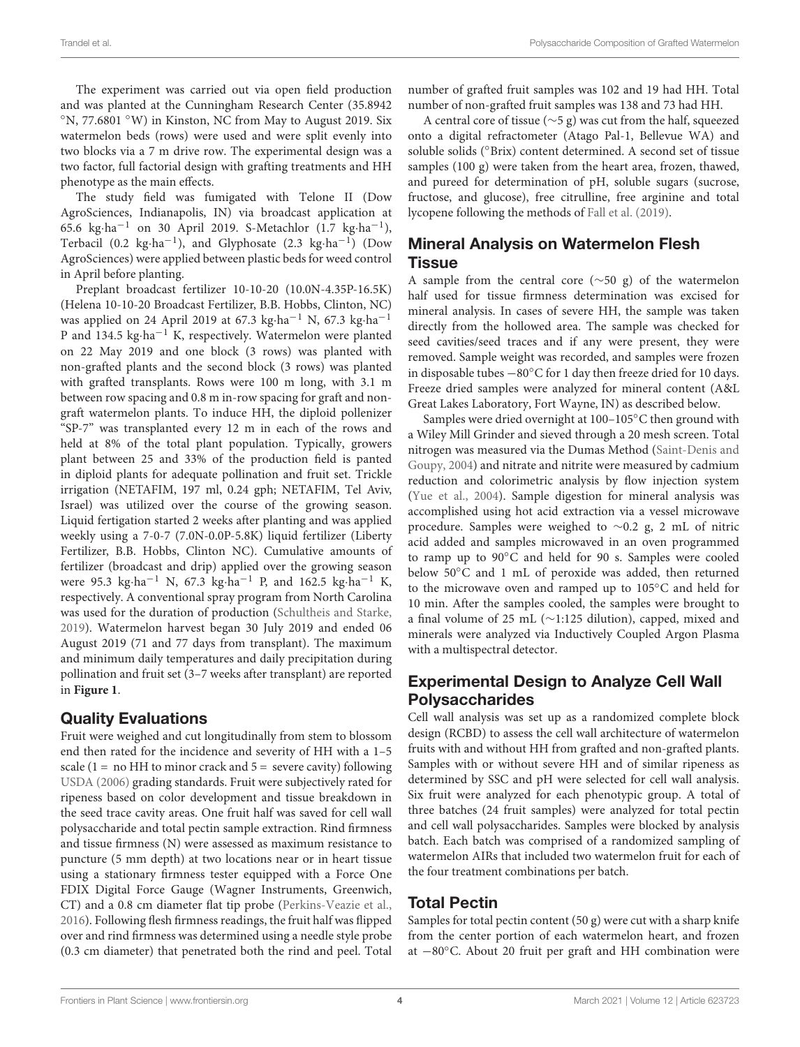The experiment was carried out via open field production and was planted at the Cunningham Research Center (35.8942 ◦N, 77.6801 ◦W) in Kinston, NC from May to August 2019. Six watermelon beds (rows) were used and were split evenly into two blocks via a 7 m drive row. The experimental design was a two factor, full factorial design with grafting treatments and HH phenotype as the main effects.

The study field was fumigated with Telone II (Dow AgroSciences, Indianapolis, IN) via broadcast application at 65.6 kg·ha−<sup>1</sup> on 30 April 2019. S-Metachlor (1.7 kg·ha−<sup>1</sup> ), Terbacil (0.2 kg·ha<sup>-1</sup>), and Glyphosate (2.3 kg·ha<sup>-1</sup>) (Dow AgroSciences) were applied between plastic beds for weed control in April before planting.

Preplant broadcast fertilizer 10-10-20 (10.0N-4.35P-16.5K) (Helena 10-10-20 Broadcast Fertilizer, B.B. Hobbs, Clinton, NC) was applied on 24 April 2019 at 67.3 kg·ha−<sup>1</sup> N, 67.3 kg·ha−<sup>1</sup> P and 134.5 kg·ha<sup>-1</sup> K, respectively. Watermelon were planted on 22 May 2019 and one block (3 rows) was planted with non-grafted plants and the second block (3 rows) was planted with grafted transplants. Rows were 100 m long, with 3.1 m between row spacing and 0.8 m in-row spacing for graft and nongraft watermelon plants. To induce HH, the diploid pollenizer "SP-7" was transplanted every 12 m in each of the rows and held at 8% of the total plant population. Typically, growers plant between 25 and 33% of the production field is panted in diploid plants for adequate pollination and fruit set. Trickle irrigation (NETAFIM, 197 ml, 0.24 gph; NETAFIM, Tel Aviv, Israel) was utilized over the course of the growing season. Liquid fertigation started 2 weeks after planting and was applied weekly using a 7-0-7 (7.0N-0.0P-5.8K) liquid fertilizer (Liberty Fertilizer, B.B. Hobbs, Clinton NC). Cumulative amounts of fertilizer (broadcast and drip) applied over the growing season were 95.3 kg⋅ha<sup>-1</sup> N, 67.3 kg⋅ha<sup>-1</sup> P, and 162.5 kg⋅ha<sup>-1</sup> K, respectively. A conventional spray program from North Carolina was used for the duration of production [\(Schultheis and Starke,](#page-17-13) [2019\)](#page-17-13). Watermelon harvest began 30 July 2019 and ended 06 August 2019 (71 and 77 days from transplant). The maximum and minimum daily temperatures and daily precipitation during pollination and fruit set (3–7 weeks after transplant) are reported in **[Figure 1](#page-4-0)**.

#### Quality Evaluations

Fruit were weighed and cut longitudinally from stem to blossom end then rated for the incidence and severity of HH with a 1–5 scale (1 = no HH to minor crack and  $5$  = severe cavity) following [USDA](#page-17-14) [\(2006\)](#page-17-14) grading standards. Fruit were subjectively rated for ripeness based on color development and tissue breakdown in the seed trace cavity areas. One fruit half was saved for cell wall polysaccharide and total pectin sample extraction. Rind firmness and tissue firmness (N) were assessed as maximum resistance to puncture (5 mm depth) at two locations near or in heart tissue using a stationary firmness tester equipped with a Force One FDIX Digital Force Gauge (Wagner Instruments, Greenwich, CT) and a 0.8 cm diameter flat tip probe [\(Perkins-Veazie et al.,](#page-17-15) [2016\)](#page-17-15). Following flesh firmness readings, the fruit half was flipped over and rind firmness was determined using a needle style probe (0.3 cm diameter) that penetrated both the rind and peel. Total

number of grafted fruit samples was 102 and 19 had HH. Total number of non-grafted fruit samples was 138 and 73 had HH.

A central core of tissue (∼5 g) was cut from the half, squeezed onto a digital refractometer (Atago Pal-1, Bellevue WA) and soluble solids (◦Brix) content determined. A second set of tissue samples (100 g) were taken from the heart area, frozen, thawed, and pureed for determination of pH, soluble sugars (sucrose, fructose, and glucose), free citrulline, free arginine and total lycopene following the methods of [Fall et al.](#page-16-14) [\(2019\)](#page-16-14).

## Mineral Analysis on Watermelon Flesh **Tissue**

A sample from the central core (∼50 g) of the watermelon half used for tissue firmness determination was excised for mineral analysis. In cases of severe HH, the sample was taken directly from the hollowed area. The sample was checked for seed cavities/seed traces and if any were present, they were removed. Sample weight was recorded, and samples were frozen in disposable tubes −80◦C for 1 day then freeze dried for 10 days. Freeze dried samples were analyzed for mineral content (A&L Great Lakes Laboratory, Fort Wayne, IN) as described below.

Samples were dried overnight at 100–105◦C then ground with a Wiley Mill Grinder and sieved through a 20 mesh screen. Total nitrogen was measured via the Dumas Method [\(Saint-Denis and](#page-17-16) [Goupy,](#page-17-16) [2004\)](#page-17-16) and nitrate and nitrite were measured by cadmium reduction and colorimetric analysis by flow injection system [\(Yue et al.,](#page-18-2) [2004\)](#page-18-2). Sample digestion for mineral analysis was accomplished using hot acid extraction via a vessel microwave procedure. Samples were weighed to ∼0.2 g, 2 mL of nitric acid added and samples microwaved in an oven programmed to ramp up to 90◦C and held for 90 s. Samples were cooled below 50◦C and 1 mL of peroxide was added, then returned to the microwave oven and ramped up to 105◦C and held for 10 min. After the samples cooled, the samples were brought to a final volume of 25 mL (∼1:125 dilution), capped, mixed and minerals were analyzed via Inductively Coupled Argon Plasma with a multispectral detector.

### Experimental Design to Analyze Cell Wall Polysaccharides

Cell wall analysis was set up as a randomized complete block design (RCBD) to assess the cell wall architecture of watermelon fruits with and without HH from grafted and non-grafted plants. Samples with or without severe HH and of similar ripeness as determined by SSC and pH were selected for cell wall analysis. Six fruit were analyzed for each phenotypic group. A total of three batches (24 fruit samples) were analyzed for total pectin and cell wall polysaccharides. Samples were blocked by analysis batch. Each batch was comprised of a randomized sampling of watermelon AIRs that included two watermelon fruit for each of the four treatment combinations per batch.

#### Total Pectin

Samples for total pectin content  $(50 g)$  were cut with a sharp knife from the center portion of each watermelon heart, and frozen at −80◦C. About 20 fruit per graft and HH combination were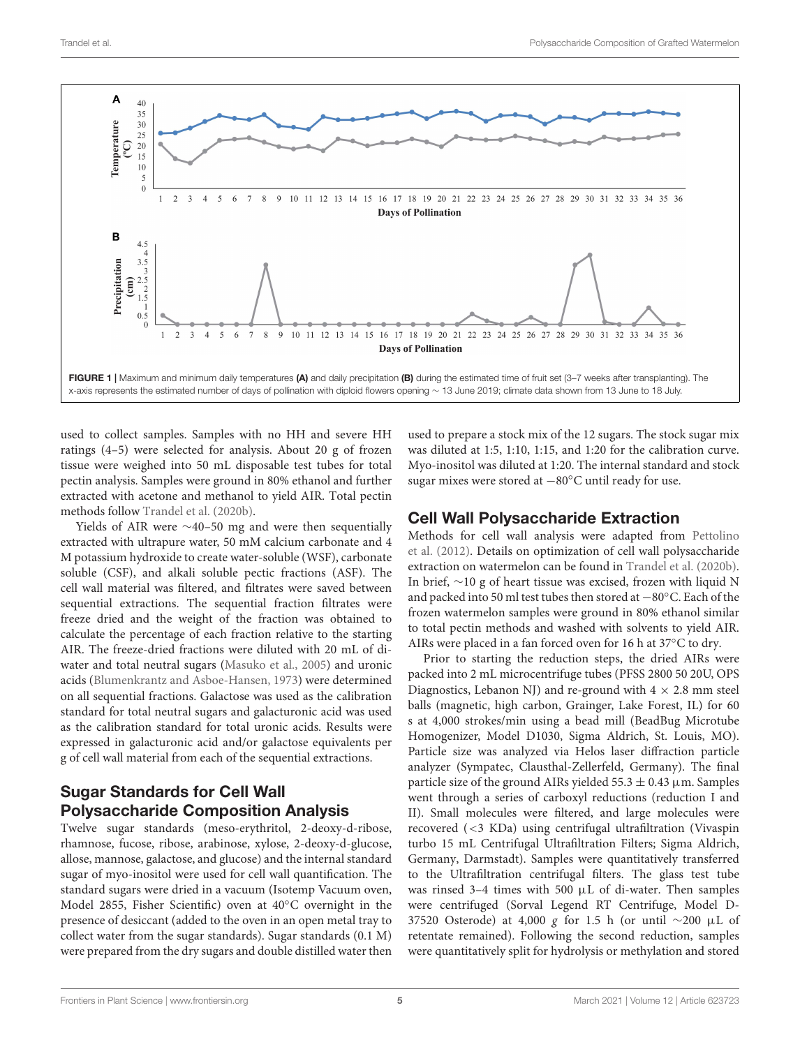

<span id="page-4-0"></span>used to collect samples. Samples with no HH and severe HH ratings (4–5) were selected for analysis. About 20 g of frozen tissue were weighed into 50 mL disposable test tubes for total pectin analysis. Samples were ground in 80% ethanol and further extracted with acetone and methanol to yield AIR. Total pectin methods follow [Trandel et al.](#page-17-1) [\(2020b\)](#page-17-1).

Yields of AIR were ∼40–50 mg and were then sequentially extracted with ultrapure water, 50 mM calcium carbonate and 4 M potassium hydroxide to create water-soluble (WSF), carbonate soluble (CSF), and alkali soluble pectic fractions (ASF). The cell wall material was filtered, and filtrates were saved between sequential extractions. The sequential fraction filtrates were freeze dried and the weight of the fraction was obtained to calculate the percentage of each fraction relative to the starting AIR. The freeze-dried fractions were diluted with 20 mL of diwater and total neutral sugars [\(Masuko et al.,](#page-17-17) [2005\)](#page-17-17) and uronic acids [\(Blumenkrantz and Asboe-Hansen,](#page-16-15) [1973\)](#page-16-15) were determined on all sequential fractions. Galactose was used as the calibration standard for total neutral sugars and galacturonic acid was used as the calibration standard for total uronic acids. Results were expressed in galacturonic acid and/or galactose equivalents per g of cell wall material from each of the sequential extractions.

### Sugar Standards for Cell Wall Polysaccharide Composition Analysis

Twelve sugar standards (meso-erythritol, 2-deoxy-d-ribose, rhamnose, fucose, ribose, arabinose, xylose, 2-deoxy-d-glucose, allose, mannose, galactose, and glucose) and the internal standard sugar of myo-inositol were used for cell wall quantification. The standard sugars were dried in a vacuum (Isotemp Vacuum oven, Model 2855, Fisher Scientific) oven at 40◦C overnight in the presence of desiccant (added to the oven in an open metal tray to collect water from the sugar standards). Sugar standards (0.1 M) were prepared from the dry sugars and double distilled water then

used to prepare a stock mix of the 12 sugars. The stock sugar mix was diluted at 1:5, 1:10, 1:15, and 1:20 for the calibration curve. Myo-inositol was diluted at 1:20. The internal standard and stock sugar mixes were stored at −80◦C until ready for use.

### Cell Wall Polysaccharide Extraction

Methods for cell wall analysis were adapted from [Pettolino](#page-17-11) [et al.](#page-17-11) [\(2012\)](#page-17-11). Details on optimization of cell wall polysaccharide extraction on watermelon can be found in [Trandel et al.](#page-17-1) [\(2020b\)](#page-17-1). In brief, ∼10 g of heart tissue was excised, frozen with liquid N and packed into 50 ml test tubes then stored at −80◦C. Each of the frozen watermelon samples were ground in 80% ethanol similar to total pectin methods and washed with solvents to yield AIR. AIRs were placed in a fan forced oven for 16 h at 37◦C to dry.

Prior to starting the reduction steps, the dried AIRs were packed into 2 mL microcentrifuge tubes (PFSS 2800 50 20U, OPS Diagnostics, Lebanon NJ) and re-ground with  $4 \times 2.8$  mm steel balls (magnetic, high carbon, Grainger, Lake Forest, IL) for 60 s at 4,000 strokes/min using a bead mill (BeadBug Microtube Homogenizer, Model D1030, Sigma Aldrich, St. Louis, MO). Particle size was analyzed via Helos laser diffraction particle analyzer (Sympatec, Clausthal-Zellerfeld, Germany). The final particle size of the ground AIRs yielded 55.3  $\pm$  0.43  $\mu$ m. Samples went through a series of carboxyl reductions (reduction I and II). Small molecules were filtered, and large molecules were recovered (<3 KDa) using centrifugal ultrafiltration (Vivaspin turbo 15 mL Centrifugal Ultrafiltration Filters; Sigma Aldrich, Germany, Darmstadt). Samples were quantitatively transferred to the Ultrafiltration centrifugal filters. The glass test tube was rinsed 3-4 times with 500  $\mu$ L of di-water. Then samples were centrifuged (Sorval Legend RT Centrifuge, Model D-37520 Osterode) at 4,000 g for 1.5 h (or until ∼200 µL of retentate remained). Following the second reduction, samples were quantitatively split for hydrolysis or methylation and stored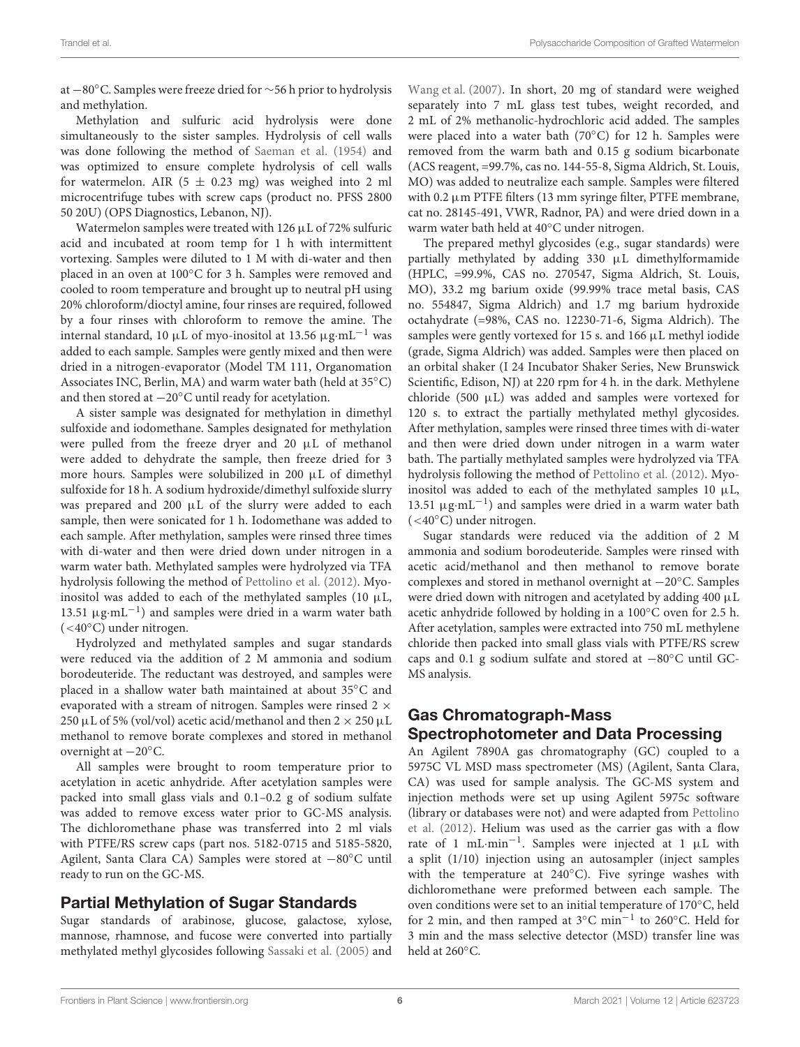at −80◦C. Samples were freeze dried for ∼56 h prior to hydrolysis and methylation.

Methylation and sulfuric acid hydrolysis were done simultaneously to the sister samples. Hydrolysis of cell walls was done following the method of [Saeman et al.](#page-17-12) [\(1954\)](#page-17-12) and was optimized to ensure complete hydrolysis of cell walls for watermelon. AIR  $(5 \pm 0.23 \text{ mg})$  was weighed into 2 ml microcentrifuge tubes with screw caps (product no. PFSS 2800 50 20U) (OPS Diagnostics, Lebanon, NJ).

Watermelon samples were treated with 126  $\mu$ L of 72% sulfuric acid and incubated at room temp for 1 h with intermittent vortexing. Samples were diluted to 1 M with di-water and then placed in an oven at 100◦C for 3 h. Samples were removed and cooled to room temperature and brought up to neutral pH using 20% chloroform/dioctyl amine, four rinses are required, followed by a four rinses with chloroform to remove the amine. The internal standard, 10 µL of myo-inositol at 13.56  $\mu$ g·mL<sup>-1</sup> was added to each sample. Samples were gently mixed and then were dried in a nitrogen-evaporator (Model TM 111, Organomation Associates INC, Berlin, MA) and warm water bath (held at 35◦C) and then stored at −20◦C until ready for acetylation.

A sister sample was designated for methylation in dimethyl sulfoxide and iodomethane. Samples designated for methylation were pulled from the freeze dryer and 20 µL of methanol were added to dehydrate the sample, then freeze dried for 3 more hours. Samples were solubilized in 200 µL of dimethyl sulfoxide for 18 h. A sodium hydroxide/dimethyl sulfoxide slurry was prepared and 200 µL of the slurry were added to each sample, then were sonicated for 1 h. Iodomethane was added to each sample. After methylation, samples were rinsed three times with di-water and then were dried down under nitrogen in a warm water bath. Methylated samples were hydrolyzed via TFA hydrolysis following the method of [Pettolino et al.](#page-17-11) [\(2012\)](#page-17-11). Myoinositol was added to each of the methylated samples (10  $\mu$ L, 13.51 μg·mL<sup>-1</sup>) and samples were dried in a warm water bath (<40◦C) under nitrogen.

Hydrolyzed and methylated samples and sugar standards were reduced via the addition of 2 M ammonia and sodium borodeuteride. The reductant was destroyed, and samples were placed in a shallow water bath maintained at about 35◦C and evaporated with a stream of nitrogen. Samples were rinsed  $2 \times$ 250 µL of 5% (vol/vol) acetic acid/methanol and then  $2 \times 250$  µL methanol to remove borate complexes and stored in methanol overnight at −20◦C.

All samples were brought to room temperature prior to acetylation in acetic anhydride. After acetylation samples were packed into small glass vials and 0.1–0.2 g of sodium sulfate was added to remove excess water prior to GC-MS analysis. The dichloromethane phase was transferred into 2 ml vials with PTFE/RS screw caps (part nos. 5182-0715 and 5185-5820, Agilent, Santa Clara CA) Samples were stored at −80◦C until ready to run on the GC-MS.

#### Partial Methylation of Sugar Standards

Sugar standards of arabinose, glucose, galactose, xylose, mannose, rhamnose, and fucose were converted into partially methylated methyl glycosides following [Sassaki et al.](#page-17-18) [\(2005\)](#page-17-18) and [Wang et al.](#page-17-19) [\(2007\)](#page-17-19). In short, 20 mg of standard were weighed separately into 7 mL glass test tubes, weight recorded, and 2 mL of 2% methanolic-hydrochloric acid added. The samples were placed into a water bath (70◦C) for 12 h. Samples were removed from the warm bath and 0.15 g sodium bicarbonate (ACS reagent, =99.7%, cas no. 144-55-8, Sigma Aldrich, St. Louis, MO) was added to neutralize each sample. Samples were filtered with  $0.2 \mu$ m PTFE filters (13 mm syringe filter, PTFE membrane, cat no. 28145-491, VWR, Radnor, PA) and were dried down in a warm water bath held at 40◦C under nitrogen.

The prepared methyl glycosides (e.g., sugar standards) were partially methylated by adding 330 µL dimethylformamide (HPLC, =99.9%, CAS no. 270547, Sigma Aldrich, St. Louis, MO), 33.2 mg barium oxide (99.99% trace metal basis, CAS no. 554847, Sigma Aldrich) and 1.7 mg barium hydroxide octahydrate (=98%, CAS no. 12230-71-6, Sigma Aldrich). The samples were gently vortexed for 15 s. and 166 µL methyl iodide (grade, Sigma Aldrich) was added. Samples were then placed on an orbital shaker (I 24 Incubator Shaker Series, New Brunswick Scientific, Edison, NJ) at 220 rpm for 4 h. in the dark. Methylene chloride (500  $\mu$ L) was added and samples were vortexed for 120 s. to extract the partially methylated methyl glycosides. After methylation, samples were rinsed three times with di-water and then were dried down under nitrogen in a warm water bath. The partially methylated samples were hydrolyzed via TFA hydrolysis following the method of [Pettolino et al.](#page-17-11) [\(2012\)](#page-17-11). Myoinositol was added to each of the methylated samples 10  $\mu$ L, 13.51 μg·mL<sup>-1</sup>) and samples were dried in a warm water bath (<40◦C) under nitrogen.

Sugar standards were reduced via the addition of 2 M ammonia and sodium borodeuteride. Samples were rinsed with acetic acid/methanol and then methanol to remove borate complexes and stored in methanol overnight at −20◦C. Samples were dried down with nitrogen and acetylated by adding 400  $\mu$ L acetic anhydride followed by holding in a 100◦C oven for 2.5 h. After acetylation, samples were extracted into 750 mL methylene chloride then packed into small glass vials with PTFE/RS screw caps and 0.1 g sodium sulfate and stored at −80◦C until GC-MS analysis.

#### Gas Chromatograph-Mass Spectrophotometer and Data Processing

An Agilent 7890A gas chromatography (GC) coupled to a 5975C VL MSD mass spectrometer (MS) (Agilent, Santa Clara, CA) was used for sample analysis. The GC-MS system and injection methods were set up using Agilent 5975c software (library or databases were not) and were adapted from [Pettolino](#page-17-11) [et al.](#page-17-11) [\(2012\)](#page-17-11). Helium was used as the carrier gas with a flow rate of 1 mL·min−<sup>1</sup> . Samples were injected at 1 µL with a split (1/10) injection using an autosampler (inject samples with the temperature at 240°C). Five syringe washes with dichloromethane were preformed between each sample. The oven conditions were set to an initial temperature of 170◦C, held for 2 min, and then ramped at 3◦C min−<sup>1</sup> to 260◦C. Held for 3 min and the mass selective detector (MSD) transfer line was held at 260◦C.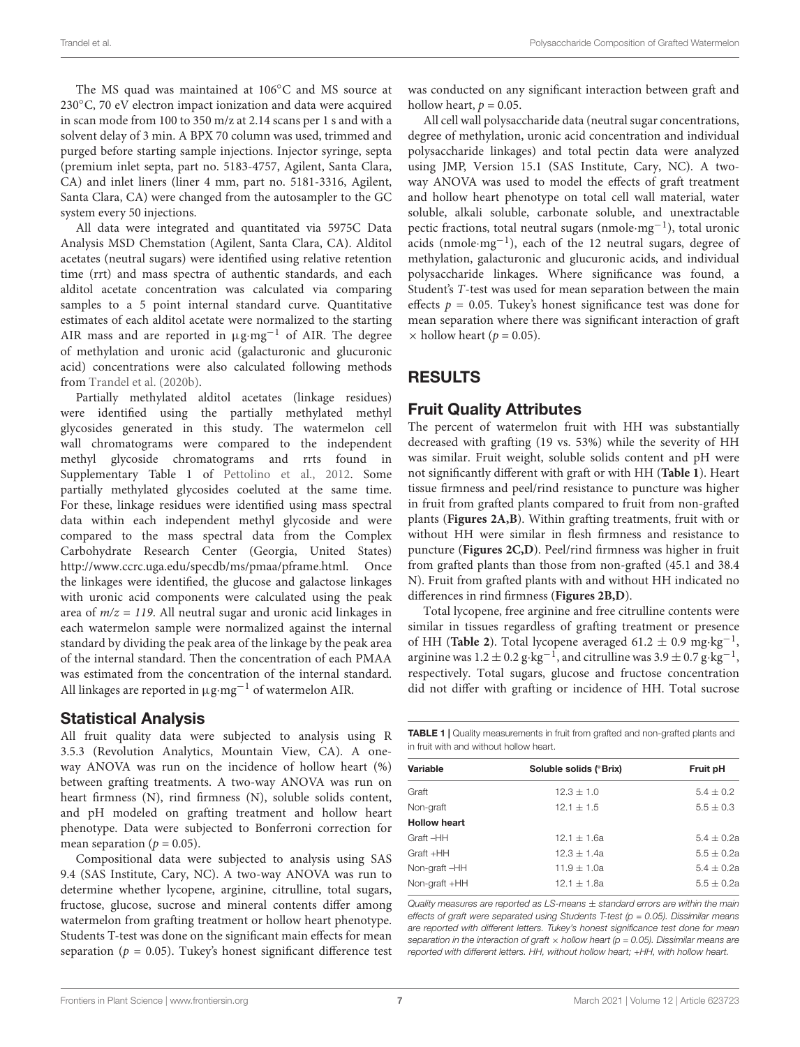The MS quad was maintained at 106◦C and MS source at 230◦C, 70 eV electron impact ionization and data were acquired in scan mode from 100 to 350 m/z at 2.14 scans per 1 s and with a solvent delay of 3 min. A BPX 70 column was used, trimmed and purged before starting sample injections. Injector syringe, septa (premium inlet septa, part no. 5183-4757, Agilent, Santa Clara, CA) and inlet liners (liner 4 mm, part no. 5181-3316, Agilent, Santa Clara, CA) were changed from the autosampler to the GC system every 50 injections.

All data were integrated and quantitated via 5975C Data Analysis MSD Chemstation (Agilent, Santa Clara, CA). Alditol acetates (neutral sugars) were identified using relative retention time (rrt) and mass spectra of authentic standards, and each alditol acetate concentration was calculated via comparing samples to a 5 point internal standard curve. Quantitative estimates of each alditol acetate were normalized to the starting AIR mass and are reported in µg·mg−<sup>1</sup> of AIR. The degree of methylation and uronic acid (galacturonic and glucuronic acid) concentrations were also calculated following methods from [Trandel et al.](#page-17-1) [\(2020b\)](#page-17-1).

Partially methylated alditol acetates (linkage residues) were identified using the partially methylated methyl glycosides generated in this study. The watermelon cell wall chromatograms were compared to the independent methyl glycoside chromatograms and rrts found in Supplementary Table 1 of [Pettolino et al.,](#page-17-11) [2012.](#page-17-11) Some partially methylated glycosides coeluted at the same time. For these, linkage residues were identified using mass spectral data within each independent methyl glycoside and were compared to the mass spectral data from the Complex Carbohydrate Research Center (Georgia, United States) [http://www.ccrc.uga.edu/specdb/ms/pmaa/pframe.html.](http://www.ccrc.uga.edu/specdb/ms/pmaa/pframe.html) Once the linkages were identified, the glucose and galactose linkages with uronic acid components were calculated using the peak area of  $m/z = 119$ . All neutral sugar and uronic acid linkages in each watermelon sample were normalized against the internal standard by dividing the peak area of the linkage by the peak area of the internal standard. Then the concentration of each PMAA was estimated from the concentration of the internal standard. All linkages are reported in µg·mg−<sup>1</sup> of watermelon AIR.

#### Statistical Analysis

All fruit quality data were subjected to analysis using R 3.5.3 (Revolution Analytics, Mountain View, CA). A oneway ANOVA was run on the incidence of hollow heart (%) between grafting treatments. A two-way ANOVA was run on heart firmness (N), rind firmness (N), soluble solids content, and pH modeled on grafting treatment and hollow heart phenotype. Data were subjected to Bonferroni correction for mean separation ( $p = 0.05$ ).

Compositional data were subjected to analysis using SAS 9.4 (SAS Institute, Cary, NC). A two-way ANOVA was run to determine whether lycopene, arginine, citrulline, total sugars, fructose, glucose, sucrose and mineral contents differ among watermelon from grafting treatment or hollow heart phenotype. Students T-test was done on the significant main effects for mean separation ( $p = 0.05$ ). Tukey's honest significant difference test

was conducted on any significant interaction between graft and hollow heart,  $p = 0.05$ .

All cell wall polysaccharide data (neutral sugar concentrations, degree of methylation, uronic acid concentration and individual polysaccharide linkages) and total pectin data were analyzed using JMP, Version 15.1 (SAS Institute, Cary, NC). A twoway ANOVA was used to model the effects of graft treatment and hollow heart phenotype on total cell wall material, water soluble, alkali soluble, carbonate soluble, and unextractable pectic fractions, total neutral sugars (nmole·mg<sup>-1</sup>), total uronic acids (nmole·mg−<sup>1</sup> ), each of the 12 neutral sugars, degree of methylation, galacturonic and glucuronic acids, and individual polysaccharide linkages. Where significance was found, a Student's T-test was used for mean separation between the main effects  $p = 0.05$ . Tukey's honest significance test was done for mean separation where there was significant interaction of graft  $\times$  hollow heart ( $p = 0.05$ ).

### RESULTS

#### Fruit Quality Attributes

The percent of watermelon fruit with HH was substantially decreased with grafting (19 vs. 53%) while the severity of HH was similar. Fruit weight, soluble solids content and pH were not significantly different with graft or with HH (**[Table 1](#page-6-0)**). Heart tissue firmness and peel/rind resistance to puncture was higher in fruit from grafted plants compared to fruit from non-grafted plants (**[Figures 2A,B](#page-7-0)**). Within grafting treatments, fruit with or without HH were similar in flesh firmness and resistance to puncture (**[Figures 2C,D](#page-7-0)**). Peel/rind firmness was higher in fruit from grafted plants than those from non-grafted (45.1 and 38.4 N). Fruit from grafted plants with and without HH indicated no differences in rind firmness (**[Figures 2B,D](#page-7-0)**).

Total lycopene, free arginine and free citrulline contents were similar in tissues regardless of grafting treatment or presence of HH ([Table 2](#page-8-0)). Total lycopene averaged 61.2  $\pm$  0.9 mg·kg<sup>-1</sup>, arginine was  $1.2 \pm 0.2$  g·kg<sup>-1</sup>, and citrulline was  $3.9 \pm 0.7$  g·kg<sup>-1</sup>, respectively. Total sugars, glucose and fructose concentration did not differ with grafting or incidence of HH. Total sucrose

<span id="page-6-0"></span>**TABLE 1** | Quality measurements in fruit from grafted and non-grafted plants and in fruit with and without hollow heart.

| Variable            | Soluble solids (°Brix) | Fruit pH      |
|---------------------|------------------------|---------------|
| Graft               | $12.3 \pm 1.0$         | $5.4 \pm 0.2$ |
| Non-graft           | $12.1 \pm 1.5$         | $5.5 \pm 0.3$ |
| <b>Hollow heart</b> |                        |               |
| Graft-HH            | $12.1 \pm 1.6a$        | $5.4 + 0.2a$  |
| Graft +HH           | $12.3 + 1.4a$          | $5.5 + 0.2a$  |
| Non-graft-HH        | $11.9 + 1.0a$          | $5.4 + 0.2a$  |
| Non-graft +HH       | $12.1 + 1.8a$          | $5.5 + 0.2a$  |
|                     |                        |               |

Quality measures are reported as  $LS$ -means  $\pm$  standard errors are within the main effects of graft were separated using Students T-test ( $p = 0.05$ ). Dissimilar means are reported with different letters. Tukey's honest significance test done for mean separation in the interaction of graft  $\times$  hollow heart (p = 0.05). Dissimilar means are reported with different letters. HH, without hollow heart; +HH, with hollow heart.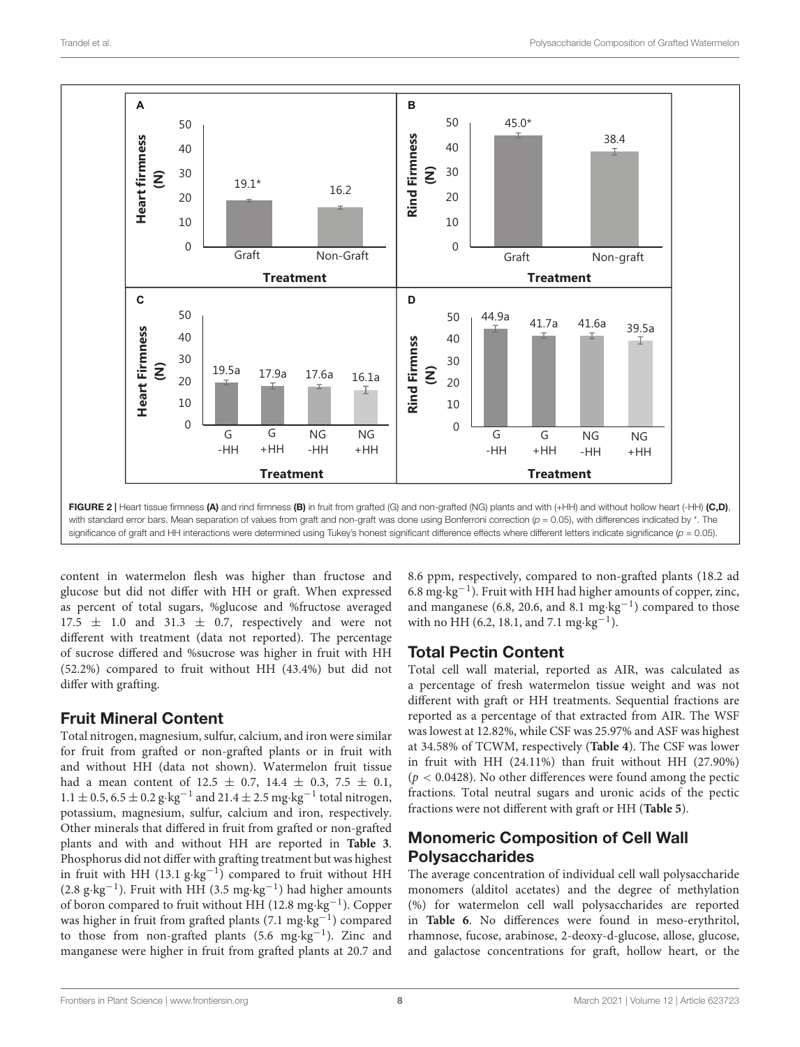

<span id="page-7-0"></span>significance of graft and HH interactions were determined using Tukey's honest significant difference effects where different letters indicate significance  $(p = 0.05)$ .

content in watermelon flesh was higher than fructose and glucose but did not differ with HH or graft. When expressed as percent of total sugars, %glucose and %fructose averaged  $17.5 \pm 1.0$  and  $31.3 \pm 0.7$ , respectively and were not different with treatment (data not reported). The percentage of sucrose differed and %sucrose was higher in fruit with HH (52.2%) compared to fruit without HH (43.4%) but did not differ with grafting.

#### Fruit Mineral Content

Total nitrogen, magnesium, sulfur, calcium, and iron were similar for fruit from grafted or non-grafted plants or in fruit with and without HH (data not shown). Watermelon fruit tissue had a mean content of  $12.5 \pm 0.7$ ,  $14.4 \pm 0.3$ ,  $7.5 \pm 0.1$ ,  $1.1 \pm 0.5$ ,  $6.5 \pm 0.2$   $\text{g}\cdot\text{kg}^{-1}$  and  $21.4 \pm 2.5$  mg $\cdot\text{kg}^{-1}$  total nitrogen, potassium, magnesium, sulfur, calcium and iron, respectively. Other minerals that differed in fruit from grafted or non-grafted plants and with and without HH are reported in **[Table 3](#page-9-0)**. Phosphorus did not differ with grafting treatment but was highest in fruit with HH (13.1 g·kg−<sup>1</sup> ) compared to fruit without HH (2.8 g·kg−<sup>1</sup> ). Fruit with HH (3.5 mg·kg−<sup>1</sup> ) had higher amounts of boron compared to fruit without HH (12.8 mg·kg−<sup>1</sup> ). Copper was higher in fruit from grafted plants (7.1 mg·kg<sup>-1</sup>) compared to those from non-grafted plants (5.6 mg·kg−<sup>1</sup> ). Zinc and manganese were higher in fruit from grafted plants at 20.7 and

8.6 ppm, respectively, compared to non-grafted plants (18.2 ad 6.8 mg·kg−<sup>1</sup> ). Fruit with HH had higher amounts of copper, zinc, and manganese (6.8, 20.6, and 8.1 mg·kg−<sup>1</sup> ) compared to those with no HH (6.2, 18.1, and 7.1 mg⋅kg<sup>-1</sup>).

#### Total Pectin Content

Total cell wall material, reported as AIR, was calculated as a percentage of fresh watermelon tissue weight and was not different with graft or HH treatments. Sequential fractions are reported as a percentage of that extracted from AIR. The WSF was lowest at 12.82%, while CSF was 25.97% and ASF was highest at 34.58% of TCWM, respectively (**[Table 4](#page-9-1)**). The CSF was lower in fruit with HH (24.11%) than fruit without HH (27.90%)  $(p < 0.0428)$ . No other differences were found among the pectic fractions. Total neutral sugars and uronic acids of the pectic fractions were not different with graft or HH (**[Table 5](#page-9-2)**).

### Monomeric Composition of Cell Wall Polysaccharides

The average concentration of individual cell wall polysaccharide monomers (alditol acetates) and the degree of methylation (%) for watermelon cell wall polysaccharides are reported in **[Table 6](#page-9-3)**. No differences were found in meso-erythritol, rhamnose, fucose, arabinose, 2-deoxy-d-glucose, allose, glucose, and galactose concentrations for graft, hollow heart, or the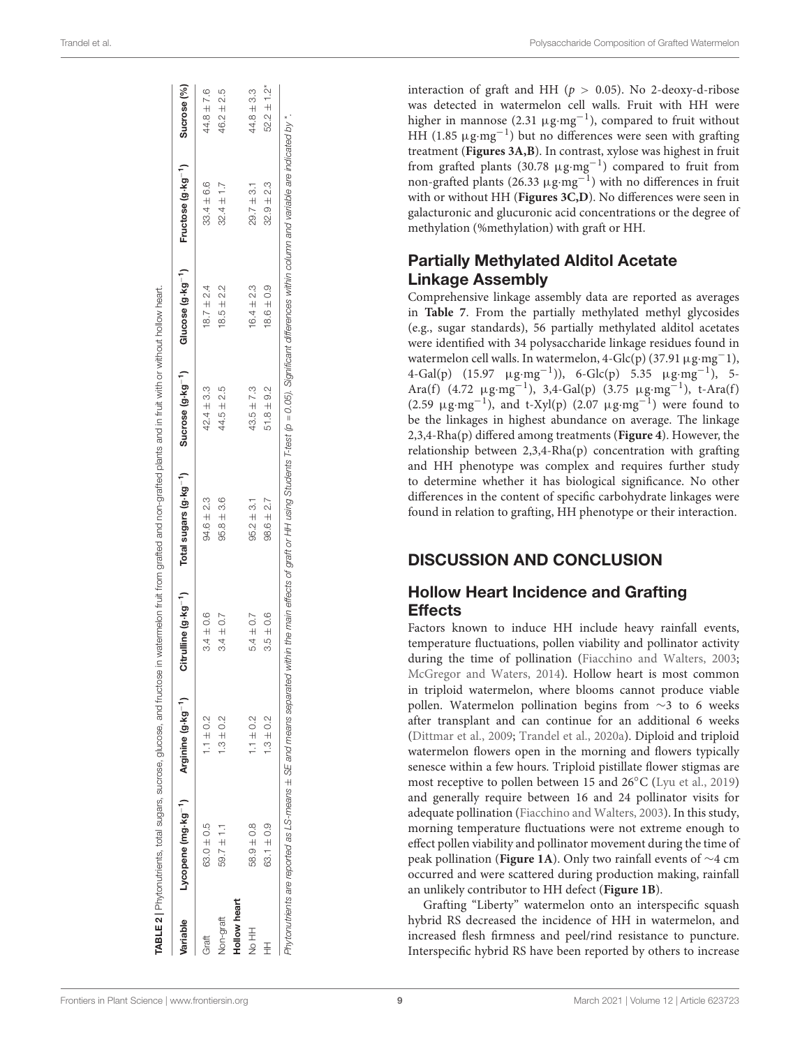| Variable         | Lycopene (mg·kg <sup>-1</sup> ) | Arginine (g-kg <sup>-1</sup> ) | Citrulline (g.kg <sup>-1</sup> ) | Total sugars (g-kg <sup>-1</sup> ) | Sucrose $(g \cdot kg^{-1})$ | Glucose (g·kg <sup>-1</sup> ) | Fructose (g-kg <sup>-1</sup> ) | Sucrose (%)                 |
|------------------|---------------------------------|--------------------------------|----------------------------------|------------------------------------|-----------------------------|-------------------------------|--------------------------------|-----------------------------|
| Graft            | $63.0 \pm 0.5$                  | $1.1 \pm 0.2$                  | $3.4 \pm 0.6$                    | $94.6 \pm 2.3$                     | $42.4 \pm 3.3$              | $18.7 \pm 2.4$                | $33.4 \pm 6.6$                 | $44.8 \pm 7.6$              |
| <b>Jon-graft</b> | $59.7 \pm 1.1$                  | $-3 \pm 0.2$                   | $3.4 \pm 0.7$                    | $95.8 + 3.6$                       | $44.5 \pm 2.5$              | $18.5 \pm 2.2$                | $32.4 \pm 1.7$                 | $46.2 \pm 2.5$              |
| Hollow heart     |                                 |                                |                                  |                                    |                             |                               |                                |                             |
| 王今               | 58.9 ± 0.8                      | $1.1 \pm 0.2$                  | $5.4 \pm 0.7$                    | $95.2 \pm 3.1$                     | $43.5 \pm 7.3$              | $16.4 \pm 2.3$                | $29.7 \pm 3.1$                 | $44.8 \pm 3.3$              |
|                  | $63.1 \pm 0.9$                  | $1.3 \pm 0.2$                  | $3.5 \pm 0.6$                    | $98.6 \pm 2.7$                     | $51.8 \pm 9.2$              | $18.6 \pm 0.9$                | $32.9 + 2.3$                   | $52.2 \pm 1.2$ <sup>*</sup> |

interaction of graft and HH ( $p > 0.05$ ). No 2-deoxy-d-ribose was detected in watermelon cell walls. Fruit with HH were higher in mannose (2.31  $\mu$ g·mg<sup>-1</sup>), compared to fruit without HH (1.85 µg·mg−<sup>1</sup> ) but no differences were seen with grafting treatment (**[Figures 3A,B](#page-10-0)**). In contrast, xylose was highest in fruit from grafted plants (30.78 µg·mg−<sup>1</sup> ) compared to fruit from non-grafted plants (26.33 μg·mg<sup>-1</sup>) with no differences in fruit with or without HH (**[Figures 3C,D](#page-10-0)**). No differences were seen in galacturonic and glucuronic acid concentrations or the degree of methylation (%methylation) with graft or HH.

#### Partially Methylated Alditol Acetate Linkage Assembly

Comprehensive linkage assembly data are reported as averages in **[Table 7](#page-11-0)**. From the partially methylated methyl glycosides (e.g., sugar standards), 56 partially methylated alditol acetates were identified with 34 polysaccharide linkage residues found in watermelon cell walls. In watermelon, 4-Glc(p) (37.91 µg·mg−1), 4-Gal(p)  $(15.97 \text{ }\mu\text{g}\cdot\text{mg}^{-1})$ , 6-Glc(p) 5.35  $\mu\text{g}\cdot\text{mg}^{-1}$ ), 5-Ara(f)  $(4.72 \mu g \cdot mg^{-1})$ , 3,4-Gal(p)  $(3.75 \mu g \cdot mg^{-1})$ , t-Ara(f) (2.59  $\mu$ g·mg<sup>-1</sup>), and t-Xyl(p) (2.07  $\mu$ g·mg<sup>-1</sup>) were found to be the linkages in highest abundance on average. The linkage 2,3,4-Rha(p) differed among treatments (**[Figure 4](#page-12-0)**). However, the relationship between 2,3,4-Rha(p) concentration with grafting and HH phenotype was complex and requires further study to determine whether it has biological significance. No other differences in the content of specific carbohydrate linkages were found in relation to grafting, HH phenotype or their interaction.

#### DISCUSSION AND CONCLUSION

#### Hollow Heart Incidence and Grafting **Effects**

Factors known to induce HH include heavy rainfall events, temperature fluctuations, pollen viability and pollinator activity during the time of pollination [\(Fiacchino and Walters,](#page-16-16) [2003;](#page-16-16) [McGregor and Waters,](#page-17-20) [2014\)](#page-17-20). Hollow heart is most common in triploid watermelon, where blooms cannot produce viable pollen. Watermelon pollination begins from ∼3 to 6 weeks after transplant and can continue for an additional 6 weeks [\(Dittmar et al.,](#page-16-17) [2009;](#page-16-17) [Trandel et al.,](#page-17-0) [2020a\)](#page-17-0). Diploid and triploid watermelon flowers open in the morning and flowers typically senesce within a few hours. Triploid pistillate flower stigmas are most receptive to pollen between 15 and 26◦C [\(Lyu et al.,](#page-16-18) [2019\)](#page-16-18) and generally require between 16 and 24 pollinator visits for adequate pollination [\(Fiacchino and Walters,](#page-16-16) [2003\)](#page-16-16). In this study, morning temperature fluctuations were not extreme enough to effect pollen viability and pollinator movement during the time of peak pollination (**[Figure 1A](#page-4-0)**). Only two rainfall events of ∼4 cm occurred and were scattered during production making, rainfall an unlikely contributor to HH defect (**[Figure 1B](#page-4-0)**).

<span id="page-8-0"></span>Grafting "Liberty" watermelon onto an interspecific squash hybrid RS decreased the incidence of HH in watermelon, and increased flesh firmness and peel/rind resistance to puncture. Interspecific hybrid RS have been reported by others to increase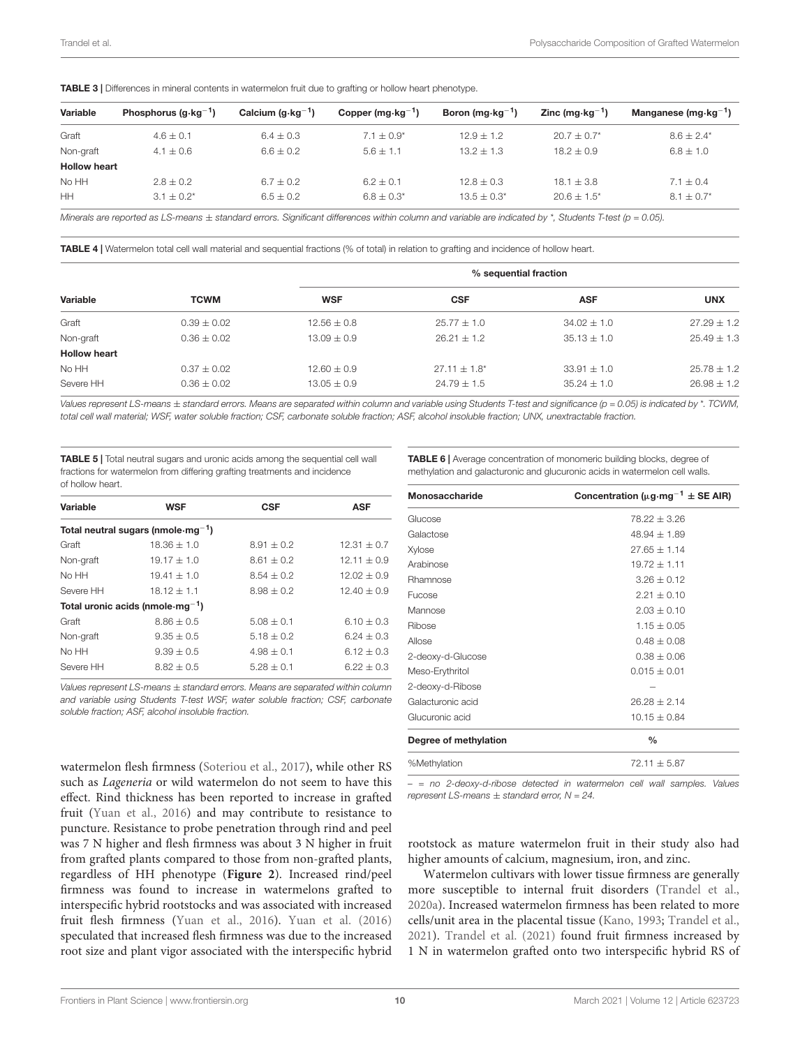<span id="page-9-0"></span>

| TABLE 3   Differences in mineral contents in watermelon fruit due to grafting or hollow heart phenotype. |  |  |  |
|----------------------------------------------------------------------------------------------------------|--|--|--|
|----------------------------------------------------------------------------------------------------------|--|--|--|

| Variable            | Phosphorus $(q \cdot kq^{-1})$ | Calcium $(g \cdot kg^{-1})$ | Copper (mg $\cdot$ kg <sup>-1</sup> ) | Boron (mg $\cdot$ kg <sup>-1</sup> ) | Zinc (mg $\cdot$ kg <sup>-1</sup> ) | Manganese (mg $\cdot$ kg <sup>-1</sup> ) |
|---------------------|--------------------------------|-----------------------------|---------------------------------------|--------------------------------------|-------------------------------------|------------------------------------------|
| Graft               | $4.6 \pm 0.1$                  | $6.4 \pm 0.3$               | $7.1 + 0.9*$                          | $12.9 + 1.2$                         | $20.7 + 0.7^*$                      | $8.6 + 2.4*$                             |
| Non-graft           | $4.1 \pm 0.6$                  | $6.6 \pm 0.2$               | $5.6 + 1.1$                           | $13.2 \pm 1.3$                       | $18.2 + 0.9$                        | $6.8 \pm 1.0$                            |
| <b>Hollow heart</b> |                                |                             |                                       |                                      |                                     |                                          |
| No HH               | $2.8 \pm 0.2$                  | $6.7 \pm 0.2$               | $6.2 + 0.1$                           | $12.8 \pm 0.3$                       | $18.1 \pm 3.8$                      | $7.1 \pm 0.4$                            |
| HH                  | $3.1 + 0.2^*$                  | $6.5 + 0.2$                 | $6.8 + 0.3*$                          | $13.5 + 0.3^*$                       | $20.6 + 1.5^*$                      | $8.1 + 0.7^*$                            |

Minerals are reported as LS-means + standard errors. Significant differences within column and variable are indicated by \*, Students T-test (p = 0.05).

<span id="page-9-1"></span>TABLE 4 | Watermelon total cell wall material and sequential fractions (% of total) in relation to grafting and incidence of hollow heart.

|                     |                 | % sequential fraction |                   |                 |                 |
|---------------------|-----------------|-----------------------|-------------------|-----------------|-----------------|
| Variable            | <b>TCWM</b>     | <b>WSF</b>            | <b>CSF</b>        | <b>ASF</b>      | <b>UNX</b>      |
| Graft               | $0.39 \pm 0.02$ | $12.56 \pm 0.8$       | $25.77 \pm 1.0$   | $34.02 \pm 1.0$ | $27.29 \pm 1.2$ |
| Non-graft           | $0.36 \pm 0.02$ | $13.09 \pm 0.9$       | $26.21 \pm 1.2$   | $35.13 \pm 1.0$ | $25.49 \pm 1.3$ |
| <b>Hollow heart</b> |                 |                       |                   |                 |                 |
| No HH               | $0.37 \pm 0.02$ | $12.60 \pm 0.9$       | $27.11 \pm 1.8^*$ | $33.91 \pm 1.0$ | $25.78 \pm 1.2$ |
| Severe HH           | $0.36 \pm 0.02$ | $13.05 \pm 0.9$       | $24.79 \pm 1.5$   | $35.24 \pm 1.0$ | $26.98 \pm 1.2$ |

Values represent LS-means ± standard errors. Means are separated within column and variable using Students T-test and significance (p = 0.05) is indicated by \*. TCWM, total cell wall material; WSF, water soluble fraction; CSF, carbonate soluble fraction; ASF, alcohol insoluble fraction; UNX, unextractable fraction.

<span id="page-9-2"></span>TABLE 5 | Total neutral sugars and uronic acids among the sequential cell wall fractions for watermelon from differing grafting treatments and incidence of hollow heart.

| Variable                                       | <b>WSF</b>                              | <b>CSF</b>     | <b>ASF</b>    |  |  |
|------------------------------------------------|-----------------------------------------|----------------|---------------|--|--|
|                                                | Total neutral sugars (nmole $mg^{-1}$ ) |                |               |  |  |
| Graft                                          | $18.36 + 1.0$                           | $8.91 + 0.2$   | $12.31 + 0.7$ |  |  |
| Non-graft                                      | $19.17 \pm 1.0$                         | $8.61 + 0.2$   | $12.11 + 0.9$ |  |  |
| No HH                                          | $19.41 + 1.0$                           | $8.54 + 0.2$   | $12.02 + 0.9$ |  |  |
| Severe HH                                      | $18.12 + 1.1$                           | $8.98 \pm 0.2$ | $12.40 + 0.9$ |  |  |
| Total uronic acids (nmole $\cdot$ mg $^{-1}$ ) |                                         |                |               |  |  |
| Graft                                          | $8.86 + 0.5$                            | $5.08 + 0.1$   | $6.10 + 0.3$  |  |  |
| Non-graft                                      | $9.35 + 0.5$                            | $5.18 + 0.2$   | $6.24 + 0.3$  |  |  |
| No HH                                          | $9.39 + 0.5$                            | $4.98 + 0.1$   | $6.12 + 0.3$  |  |  |
| Severe HH                                      | $8.82 + 0.5$                            | $5.28 + 0.1$   | $6.22 + 0.3$  |  |  |

Values represent  $LS$ -means  $\pm$  standard errors. Means are separated within column and variable using Students T-test WSF, water soluble fraction; CSF, carbonate soluble fraction; ASF, alcohol insoluble fraction.

watermelon flesh firmness [\(Soteriou et al.,](#page-17-4) [2017\)](#page-17-4), while other RS such as Lageneria or wild watermelon do not seem to have this effect. Rind thickness has been reported to increase in grafted fruit [\(Yuan et al.,](#page-18-3) [2016\)](#page-18-3) and may contribute to resistance to puncture. Resistance to probe penetration through rind and peel was 7 N higher and flesh firmness was about 3 N higher in fruit from grafted plants compared to those from non-grafted plants, regardless of HH phenotype (**[Figure 2](#page-7-0)**). Increased rind/peel firmness was found to increase in watermelons grafted to interspecific hybrid rootstocks and was associated with increased fruit flesh firmness [\(Yuan et al.,](#page-18-3) [2016\)](#page-18-3). [Yuan et al.](#page-18-3) [\(2016\)](#page-18-3) speculated that increased flesh firmness was due to the increased root size and plant vigor associated with the interspecific hybrid

<span id="page-9-3"></span>TABLE 6 | Average concentration of monomeric building blocks, degree of methylation and galacturonic and glucuronic acids in watermelon cell walls.

| Monosaccharide        | Concentration ( $\mu$ g·mg <sup>-1</sup> ± SE AIR) |
|-----------------------|----------------------------------------------------|
| Glucose               | $78.22 + 3.26$                                     |
| Galactose             | $48.94 + 1.89$                                     |
| Xylose                | $27.65 + 1.14$                                     |
| Arabinose             | $19.72 \pm 1.11$                                   |
| Rhamnose              | $3.26 + 0.12$                                      |
| <b>Fucose</b>         | $2.21 + 0.10$                                      |
| Mannose               | $2.03 + 0.10$                                      |
| Ribose                | $1.15 \pm 0.05$                                    |
| Allose                | $0.48 + 0.08$                                      |
| 2-deoxy-d-Glucose     | $0.38 \pm 0.06$                                    |
| Meso-Erythritol       | $0.015 \pm 0.01$                                   |
| 2-deoxy-d-Ribose      |                                                    |
| Galacturonic acid     | $26.28 \pm 2.14$                                   |
| Glucuronic acid       | $10.15 + 0.84$                                     |
| Degree of methylation | $\frac{0}{0}$                                      |
| %Methylation          | $72.11 + 5.87$                                     |

– = no 2-deoxy-d-ribose detected in watermelon cell wall samples. Values represent LS-means  $\pm$  standard error,  $N = 24$ .

rootstock as mature watermelon fruit in their study also had higher amounts of calcium, magnesium, iron, and zinc.

Watermelon cultivars with lower tissue firmness are generally more susceptible to internal fruit disorders [\(Trandel et al.,](#page-17-0) [2020a\)](#page-17-0). Increased watermelon firmness has been related to more cells/unit area in the placental tissue [\(Kano,](#page-16-4) [1993;](#page-16-4) [Trandel et al.,](#page-17-21) [2021\)](#page-17-21). [Trandel et al.](#page-17-21) [\(2021\)](#page-17-21) found fruit firmness increased by 1 N in watermelon grafted onto two interspecific hybrid RS of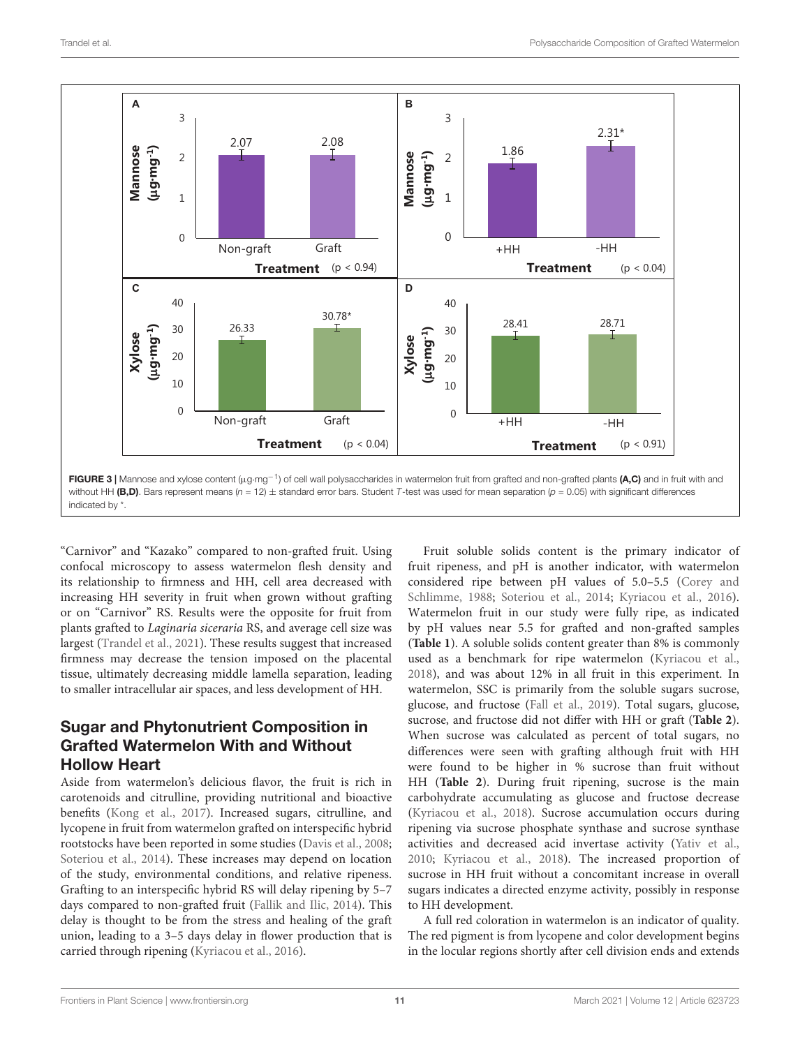

<span id="page-10-0"></span>"Carnivor" and "Kazako" compared to non-grafted fruit. Using confocal microscopy to assess watermelon flesh density and its relationship to firmness and HH, cell area decreased with increasing HH severity in fruit when grown without grafting or on "Carnivor" RS. Results were the opposite for fruit from plants grafted to Laginaria siceraria RS, and average cell size was largest [\(Trandel et al.,](#page-17-21) [2021\)](#page-17-21). These results suggest that increased firmness may decrease the tension imposed on the placental tissue, ultimately decreasing middle lamella separation, leading to smaller intracellular air spaces, and less development of HH.

#### Sugar and Phytonutrient Composition in Grafted Watermelon With and Without Hollow Heart

Aside from watermelon's delicious flavor, the fruit is rich in carotenoids and citrulline, providing nutritional and bioactive benefits [\(Kong et al.,](#page-16-19) [2017\)](#page-16-19). Increased sugars, citrulline, and lycopene in fruit from watermelon grafted on interspecific hybrid rootstocks have been reported in some studies [\(Davis et al.,](#page-16-20) [2008;](#page-16-20) [Soteriou et al.,](#page-17-3) [2014\)](#page-17-3). These increases may depend on location of the study, environmental conditions, and relative ripeness. Grafting to an interspecific hybrid RS will delay ripening by 5–7 days compared to non-grafted fruit [\(Fallik and Ilic,](#page-16-21) [2014\)](#page-16-21). This delay is thought to be from the stress and healing of the graft union, leading to a 3–5 days delay in flower production that is carried through ripening [\(Kyriacou et al.,](#page-16-22) [2016\)](#page-16-22).

Fruit soluble solids content is the primary indicator of fruit ripeness, and pH is another indicator, with watermelon considered ripe between pH values of 5.0–5.5 [\(Corey and](#page-16-23) [Schlimme,](#page-16-23) [1988;](#page-16-23) [Soteriou et al.,](#page-17-3) [2014;](#page-17-3) [Kyriacou et al.,](#page-16-22) [2016\)](#page-16-22). Watermelon fruit in our study were fully ripe, as indicated by pH values near 5.5 for grafted and non-grafted samples (**[Table 1](#page-6-0)**). A soluble solids content greater than 8% is commonly used as a benchmark for ripe watermelon [\(Kyriacou et al.,](#page-16-24) [2018\)](#page-16-24), and was about 12% in all fruit in this experiment. In watermelon, SSC is primarily from the soluble sugars sucrose, glucose, and fructose [\(Fall et al.,](#page-16-14) [2019\)](#page-16-14). Total sugars, glucose, sucrose, and fructose did not differ with HH or graft (**[Table 2](#page-8-0)**). When sucrose was calculated as percent of total sugars, no differences were seen with grafting although fruit with HH were found to be higher in % sucrose than fruit without HH (**[Table 2](#page-8-0)**). During fruit ripening, sucrose is the main carbohydrate accumulating as glucose and fructose decrease [\(Kyriacou et al.,](#page-16-24) [2018\)](#page-16-24). Sucrose accumulation occurs during ripening via sucrose phosphate synthase and sucrose synthase activities and decreased acid invertase activity [\(Yativ et al.,](#page-18-4) [2010;](#page-18-4) [Kyriacou et al.,](#page-16-24) [2018\)](#page-16-24). The increased proportion of sucrose in HH fruit without a concomitant increase in overall sugars indicates a directed enzyme activity, possibly in response to HH development.

A full red coloration in watermelon is an indicator of quality. The red pigment is from lycopene and color development begins in the locular regions shortly after cell division ends and extends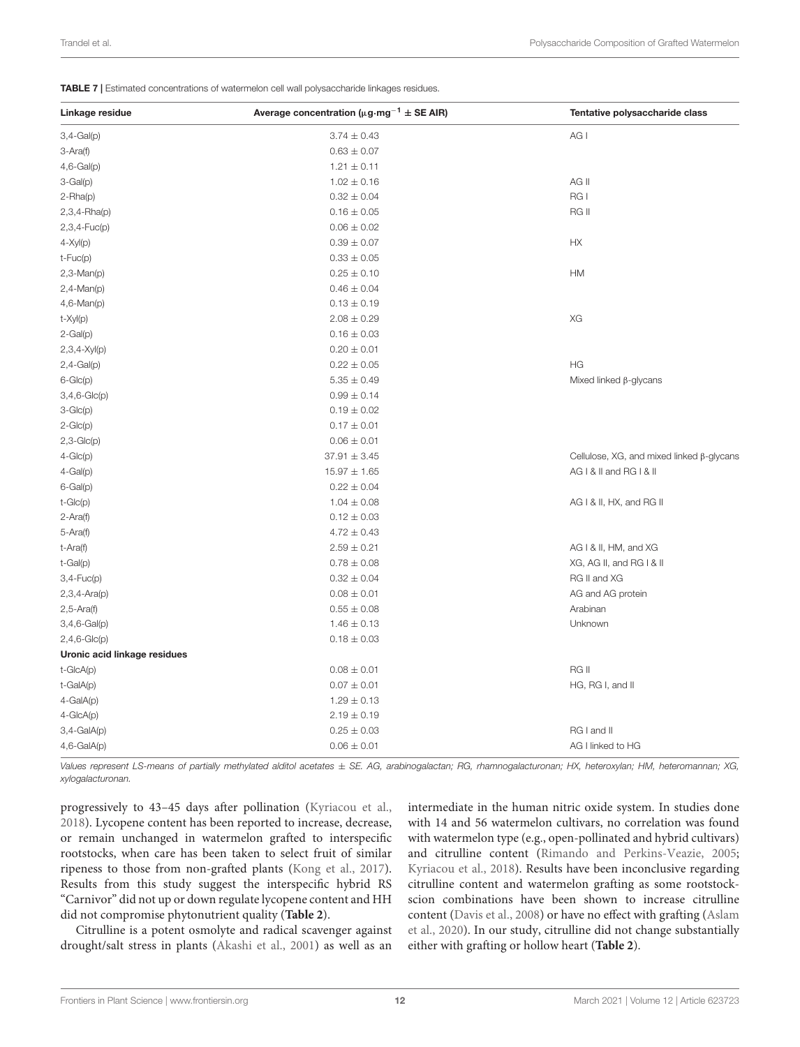<span id="page-11-0"></span>TABLE 7 | Estimated concentrations of watermelon cell wall polysaccharide linkages residues.

| Linkage residue              | Average concentration ( $\mu$ g·mg <sup>-1</sup> ± SE AIR) | Tentative polysaccharide class            |
|------------------------------|------------------------------------------------------------|-------------------------------------------|
| $3,4-Gal(p)$                 | $3.74 \pm 0.43$                                            | AG I                                      |
| 3-Ara(f)                     | $0.63 \pm 0.07$                                            |                                           |
| $4,6-Gal(p)$                 | $1.21 \pm 0.11$                                            |                                           |
| $3-Gal(p)$                   | $1.02 \pm 0.16$                                            | AG II                                     |
| $2 - Rha(p)$                 | $0.32 \pm 0.04$                                            | RG I                                      |
| $2,3,4 - Rha(p)$             | $0.16 \pm 0.05$                                            | RG II                                     |
| $2,3,4$ -Fuc(p)              | $0.06 \pm 0.02$                                            |                                           |
| $4 - Xyl(p)$                 | $0.39 \pm 0.07$                                            | HX                                        |
| $t$ -Fuc $(p)$               | $0.33 \pm 0.05$                                            |                                           |
| $2,3-Man(p)$                 | $0.25 \pm 0.10$                                            | HM                                        |
| $2,4-Man(p)$                 | $0.46 \pm 0.04$                                            |                                           |
| $4,6$ -Man(p)                | $0.13 \pm 0.19$                                            |                                           |
| t-Xyl(p)                     | $2.08 \pm 0.29$                                            | XG                                        |
| $2-Gal(p)$                   | $0.16 \pm 0.03$                                            |                                           |
| $2,3,4-XyI(p)$               | $0.20 \pm 0.01$                                            |                                           |
| $2,4-Gal(p)$                 | $0.22 \pm 0.05$                                            | HG                                        |
| $6 - Glc(p)$                 | $5.35 \pm 0.49$                                            | Mixed linked $\beta$ -glycans             |
| $3,4,6$ -Glc(p)              | $0.99 \pm 0.14$                                            |                                           |
| $3-Glc(p)$                   | $0.19 \pm 0.02$                                            |                                           |
| $2-Glc(p)$                   | $0.17 \pm 0.01$                                            |                                           |
| $2,3-Glc(p)$                 | $0.06 \pm 0.01$                                            |                                           |
| $4-Glc(p)$                   | $37.91 \pm 3.45$                                           | Cellulose, XG, and mixed linked β-glycans |
| $4-Gal(p)$                   | $15.97 \pm 1.65$                                           | AG I & II and RG I & II                   |
| $6-Gal(p)$                   | $0.22 \pm 0.04$                                            |                                           |
| $t$ -Glc $(p)$               | $1.04 \pm 0.08$                                            | AG I & II, HX, and RG II                  |
| $2 - Ara(f)$                 | $0.12 \pm 0.03$                                            |                                           |
| 5-Ara(f)                     | $4.72 \pm 0.43$                                            |                                           |
| t-Ara(f)                     | $2.59 \pm 0.21$                                            | AG I & II, HM, and XG                     |
| $t-Gal(p)$                   | $0.78 \pm 0.08$                                            | XG, AG II, and RG I & II                  |
| $3,4$ - $Fuc(p)$             | $0.32 \pm 0.04$                                            | RG II and XG                              |
| $2,3,4-Ara(p)$               | $0.08\pm0.01$                                              | AG and AG protein                         |
| $2,5$ -Ara $(f)$             | $0.55 \pm 0.08$                                            | Arabinan                                  |
| $3,4,6$ -Gal(p)              | $1.46 \pm 0.13$                                            | Unknown                                   |
| $2,4,6$ -Glc(p)              | $0.18 \pm 0.03$                                            |                                           |
| Uronic acid linkage residues |                                                            |                                           |
| $t$ -Glc $A(p)$              | $0.08 \pm 0.01$                                            | RG II                                     |
| t-GalA(p)                    | $0.07 \pm 0.01$                                            | HG, RG I, and II                          |
| 4-GalA(p)                    | $1.29 \pm 0.13$                                            |                                           |
| $4 - GlcA(p)$                | $2.19 \pm 0.19$                                            |                                           |
| $3,4-GalA(p)$                | $0.25 \pm 0.03$                                            | RG I and II                               |
| $4,6$ -GalA(p)               | $0.06 \pm 0.01$                                            | AG I linked to HG                         |

Values represent LS-means of partially methylated alditol acetates  $\pm$  SE. AG, arabinogalactan; RG, rhamnogalacturonan; HX, heteroxylan; HM, heteromannan; XG, xylogalacturonan.

progressively to 43–45 days after pollination [\(Kyriacou et al.,](#page-16-24) [2018\)](#page-16-24). Lycopene content has been reported to increase, decrease, or remain unchanged in watermelon grafted to interspecific rootstocks, when care has been taken to select fruit of similar ripeness to those from non-grafted plants [\(Kong et al.,](#page-16-19) [2017\)](#page-16-19). Results from this study suggest the interspecific hybrid RS "Carnivor" did not up or down regulate lycopene content and HH did not compromise phytonutrient quality (**[Table 2](#page-8-0)**).

Citrulline is a potent osmolyte and radical scavenger against drought/salt stress in plants [\(Akashi et al.,](#page-15-1) [2001\)](#page-15-1) as well as an

intermediate in the human nitric oxide system. In studies done with 14 and 56 watermelon cultivars, no correlation was found with watermelon type (e.g., open-pollinated and hybrid cultivars) and citrulline content [\(Rimando and Perkins-Veazie,](#page-17-22) [2005;](#page-17-22) [Kyriacou et al.,](#page-16-24) [2018\)](#page-16-24). Results have been inconclusive regarding citrulline content and watermelon grafting as some rootstockscion combinations have been shown to increase citrulline content [\(Davis et al.,](#page-16-20) [2008\)](#page-16-20) or have no effect with grafting [\(Aslam](#page-15-2) [et al.,](#page-15-2) [2020\)](#page-15-2). In our study, citrulline did not change substantially either with grafting or hollow heart (**[Table 2](#page-8-0)**).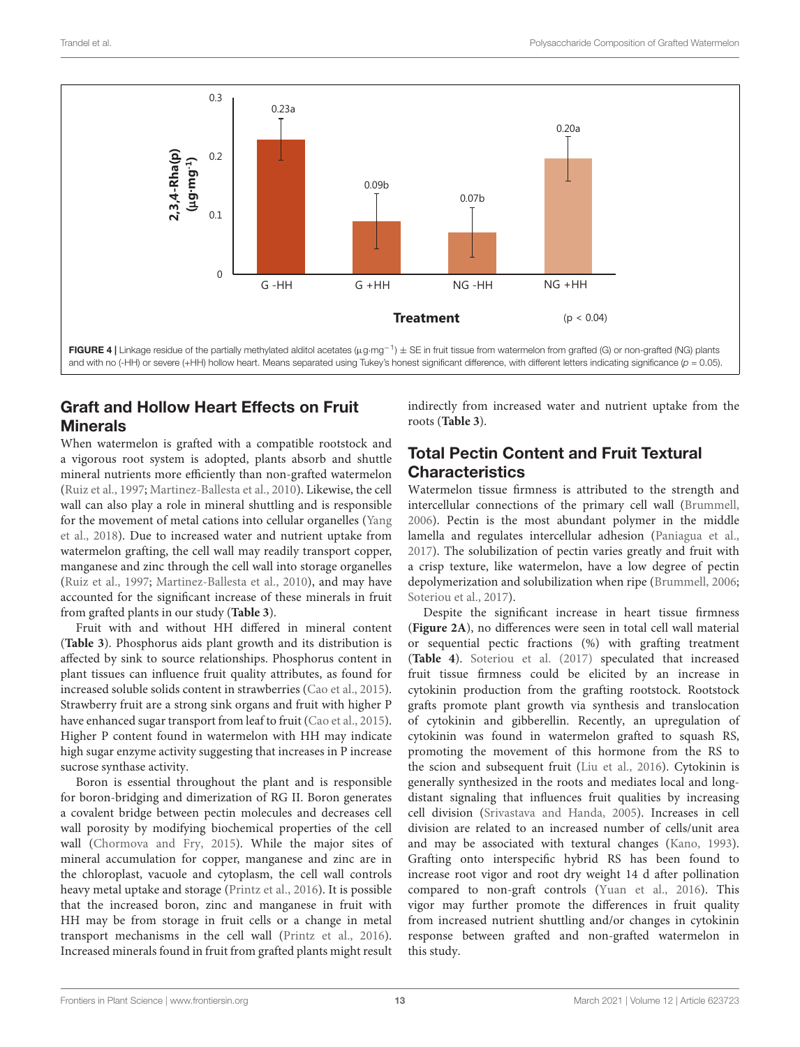

# <span id="page-12-0"></span>Graft and Hollow Heart Effects on Fruit Minerals

When watermelon is grafted with a compatible rootstock and a vigorous root system is adopted, plants absorb and shuttle mineral nutrients more efficiently than non-grafted watermelon [\(Ruiz et al.,](#page-17-23) [1997;](#page-17-23) [Martinez-Ballesta et al.,](#page-17-24) [2010\)](#page-17-24). Likewise, the cell wall can also play a role in mineral shuttling and is responsible for the movement of metal cations into cellular organelles [\(Yang](#page-17-25) [et al.,](#page-17-25) [2018\)](#page-17-25). Due to increased water and nutrient uptake from watermelon grafting, the cell wall may readily transport copper, manganese and zinc through the cell wall into storage organelles [\(Ruiz et al.,](#page-17-23) [1997;](#page-17-23) [Martinez-Ballesta et al.,](#page-17-24) [2010\)](#page-17-24), and may have accounted for the significant increase of these minerals in fruit from grafted plants in our study (**[Table 3](#page-9-0)**).

Fruit with and without HH differed in mineral content (**[Table 3](#page-9-0)**). Phosphorus aids plant growth and its distribution is affected by sink to source relationships. Phosphorus content in plant tissues can influence fruit quality attributes, as found for increased soluble solids content in strawberries [\(Cao et al.,](#page-16-25) [2015\)](#page-16-25). Strawberry fruit are a strong sink organs and fruit with higher P have enhanced sugar transport from leaf to fruit [\(Cao et al.,](#page-16-25) [2015\)](#page-16-25). Higher P content found in watermelon with HH may indicate high sugar enzyme activity suggesting that increases in P increase sucrose synthase activity.

Boron is essential throughout the plant and is responsible for boron-bridging and dimerization of RG II. Boron generates a covalent bridge between pectin molecules and decreases cell wall porosity by modifying biochemical properties of the cell wall [\(Chormova and Fry,](#page-16-26) [2015\)](#page-16-26). While the major sites of mineral accumulation for copper, manganese and zinc are in the chloroplast, vacuole and cytoplasm, the cell wall controls heavy metal uptake and storage [\(Printz et al.,](#page-17-26) [2016\)](#page-17-26). It is possible that the increased boron, zinc and manganese in fruit with HH may be from storage in fruit cells or a change in metal transport mechanisms in the cell wall [\(Printz et al.,](#page-17-26) [2016\)](#page-17-26). Increased minerals found in fruit from grafted plants might result

indirectly from increased water and nutrient uptake from the roots (**[Table 3](#page-9-0)**).

### Total Pectin Content and Fruit Textural **Characteristics**

Watermelon tissue firmness is attributed to the strength and intercellular connections of the primary cell wall [\(Brummell,](#page-16-6) [2006\)](#page-16-6). Pectin is the most abundant polymer in the middle lamella and regulates intercellular adhesion [\(Paniagua et al.,](#page-17-27) [2017\)](#page-17-27). The solubilization of pectin varies greatly and fruit with a crisp texture, like watermelon, have a low degree of pectin depolymerization and solubilization when ripe [\(Brummell,](#page-16-6) [2006;](#page-16-6) [Soteriou et al.,](#page-17-4) [2017\)](#page-17-4).

Despite the significant increase in heart tissue firmness (**[Figure 2A](#page-7-0)**), no differences were seen in total cell wall material or sequential pectic fractions (%) with grafting treatment (**[Table 4](#page-9-1)**). [Soteriou et al.](#page-17-4) [\(2017\)](#page-17-4) speculated that increased fruit tissue firmness could be elicited by an increase in cytokinin production from the grafting rootstock. Rootstock grafts promote plant growth via synthesis and translocation of cytokinin and gibberellin. Recently, an upregulation of cytokinin was found in watermelon grafted to squash RS, promoting the movement of this hormone from the RS to the scion and subsequent fruit [\(Liu et al.,](#page-16-27) [2016\)](#page-16-27). Cytokinin is generally synthesized in the roots and mediates local and longdistant signaling that influences fruit qualities by increasing cell division [\(Srivastava and Handa,](#page-17-28) [2005\)](#page-17-28). Increases in cell division are related to an increased number of cells/unit area and may be associated with textural changes [\(Kano,](#page-16-4) [1993\)](#page-16-4). Grafting onto interspecific hybrid RS has been found to increase root vigor and root dry weight 14 d after pollination compared to non-graft controls [\(Yuan et al.,](#page-18-3) [2016\)](#page-18-3). This vigor may further promote the differences in fruit quality from increased nutrient shuttling and/or changes in cytokinin response between grafted and non-grafted watermelon in this study.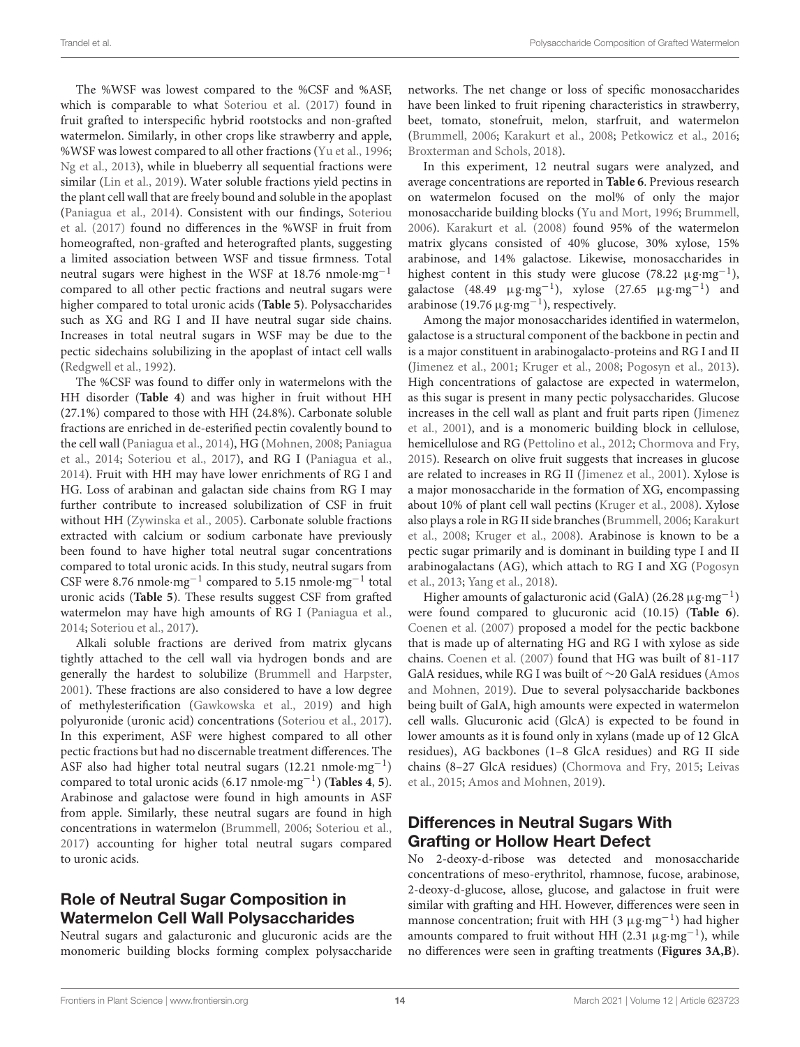The %WSF was lowest compared to the %CSF and %ASF, which is comparable to what [Soteriou et al.](#page-17-4) [\(2017\)](#page-17-4) found in fruit grafted to interspecific hybrid rootstocks and non-grafted watermelon. Similarly, in other crops like strawberry and apple, %WSF was lowest compared to all other fractions [\(Yu et al.,](#page-18-5) [1996;](#page-18-5) [Ng et al.,](#page-17-6) [2013\)](#page-17-6), while in blueberry all sequential fractions were similar [\(Lin et al.,](#page-16-28) [2019\)](#page-16-28). Water soluble fractions yield pectins in the plant cell wall that are freely bound and soluble in the apoplast [\(Paniagua et al.,](#page-17-10) [2014\)](#page-17-10). Consistent with our findings, [Soteriou](#page-17-4) [et al.](#page-17-4) [\(2017\)](#page-17-4) found no differences in the %WSF in fruit from homeografted, non-grafted and heterografted plants, suggesting a limited association between WSF and tissue firmness. Total neutral sugars were highest in the WSF at 18.76 nmole·mg−<sup>1</sup> compared to all other pectic fractions and neutral sugars were higher compared to total uronic acids (**[Table 5](#page-9-2)**). Polysaccharides such as XG and RG I and II have neutral sugar side chains. Increases in total neutral sugars in WSF may be due to the pectic sidechains solubilizing in the apoplast of intact cell walls [\(Redgwell et al.,](#page-17-29) [1992\)](#page-17-29).

The %CSF was found to differ only in watermelons with the HH disorder (**[Table 4](#page-9-1)**) and was higher in fruit without HH (27.1%) compared to those with HH (24.8%). Carbonate soluble fractions are enriched in de-esterified pectin covalently bound to the cell wall [\(Paniagua et al.,](#page-17-10) [2014\)](#page-17-10), HG [\(Mohnen,](#page-17-30) [2008;](#page-17-30) [Paniagua](#page-17-10) [et al.,](#page-17-10) [2014;](#page-17-10) [Soteriou et al.,](#page-17-4) [2017\)](#page-17-4), and RG I [\(Paniagua et al.,](#page-17-10) [2014\)](#page-17-10). Fruit with HH may have lower enrichments of RG I and HG. Loss of arabinan and galactan side chains from RG I may further contribute to increased solubilization of CSF in fruit without HH [\(Zywinska et al.,](#page-18-6) [2005\)](#page-18-6). Carbonate soluble fractions extracted with calcium or sodium carbonate have previously been found to have higher total neutral sugar concentrations compared to total uronic acids. In this study, neutral sugars from CSF were 8.76 nmole·mg−<sup>1</sup> compared to 5.15 nmole·mg−<sup>1</sup> total uronic acids (**[Table 5](#page-9-2)**). These results suggest CSF from grafted watermelon may have high amounts of RG I [\(Paniagua et al.,](#page-17-10) [2014;](#page-17-10) [Soteriou et al.,](#page-17-4) [2017\)](#page-17-4).

Alkali soluble fractions are derived from matrix glycans tightly attached to the cell wall via hydrogen bonds and are generally the hardest to solubilize [\(Brummell and Harpster,](#page-16-5) [2001\)](#page-16-5). These fractions are also considered to have a low degree of methylesterification [\(Gawkowska et al.,](#page-16-29) [2019\)](#page-16-29) and high polyuronide (uronic acid) concentrations [\(Soteriou et al.,](#page-17-4) [2017\)](#page-17-4). In this experiment, ASF were highest compared to all other pectic fractions but had no discernable treatment differences. The ASF also had higher total neutral sugars (12.21 nmole·mg−<sup>1</sup> ) compared to total uronic acids (6.17 nmole·mg−<sup>1</sup> ) (**[Tables 4](#page-9-1)**, **[5](#page-9-2)**). Arabinose and galactose were found in high amounts in ASF from apple. Similarly, these neutral sugars are found in high concentrations in watermelon [\(Brummell,](#page-16-6) [2006;](#page-16-6) [Soteriou et al.,](#page-17-4) [2017\)](#page-17-4) accounting for higher total neutral sugars compared to uronic acids.

#### Role of Neutral Sugar Composition in Watermelon Cell Wall Polysaccharides

Neutral sugars and galacturonic and glucuronic acids are the monomeric building blocks forming complex polysaccharide networks. The net change or loss of specific monosaccharides have been linked to fruit ripening characteristics in strawberry, beet, tomato, stonefruit, melon, starfruit, and watermelon [\(Brummell,](#page-16-6) [2006;](#page-16-6) [Karakurt et al.,](#page-16-10) [2008;](#page-16-10) [Petkowicz et al.,](#page-17-31) [2016;](#page-17-31) [Broxterman and Schols,](#page-16-30) [2018\)](#page-16-30).

In this experiment, 12 neutral sugars were analyzed, and average concentrations are reported in **[Table 6](#page-9-3)**. Previous research on watermelon focused on the mol% of only the major monosaccharide building blocks [\(Yu and Mort,](#page-18-7) [1996;](#page-18-7) [Brummell,](#page-16-6) [2006\)](#page-16-6). [Karakurt et al.](#page-16-10) [\(2008\)](#page-16-10) found 95% of the watermelon matrix glycans consisted of 40% glucose, 30% xylose, 15% arabinose, and 14% galactose. Likewise, monosaccharides in highest content in this study were glucose (78.22  $\mu$ g·mg<sup>-1</sup>), galactose (48.49  $\mu$ g·mg<sup>-1</sup>), xylose (27.65  $\mu$ g·mg<sup>-1</sup>) and arabinose (19.76  $\mu$ g·mg<sup>-1</sup>), respectively.

Among the major monosaccharides identified in watermelon, galactose is a structural component of the backbone in pectin and is a major constituent in arabinogalacto-proteins and RG I and II [\(Jimenez et al.,](#page-16-31) [2001;](#page-16-31) [Kruger et al.,](#page-16-32) [2008;](#page-16-32) [Pogosyn et al.,](#page-17-32) [2013\)](#page-17-32). High concentrations of galactose are expected in watermelon, as this sugar is present in many pectic polysaccharides. Glucose increases in the cell wall as plant and fruit parts ripen [\(Jimenez](#page-16-31) [et al.,](#page-16-31) [2001\)](#page-16-31), and is a monomeric building block in cellulose, hemicellulose and RG [\(Pettolino et al.,](#page-17-11) [2012;](#page-17-11) [Chormova and Fry,](#page-16-26) [2015\)](#page-16-26). Research on olive fruit suggests that increases in glucose are related to increases in RG II [\(Jimenez et al.,](#page-16-31) [2001\)](#page-16-31). Xylose is a major monosaccharide in the formation of XG, encompassing about 10% of plant cell wall pectins [\(Kruger et al.,](#page-16-32) [2008\)](#page-16-32). Xylose also plays a role in RG II side branches [\(Brummell,](#page-16-6) [2006;](#page-16-6) [Karakurt](#page-16-10) [et al.,](#page-16-10) [2008;](#page-16-10) [Kruger et al.,](#page-16-32) [2008\)](#page-16-32). Arabinose is known to be a pectic sugar primarily and is dominant in building type I and II arabinogalactans (AG), which attach to RG I and XG [\(Pogosyn](#page-17-32) [et al.,](#page-17-32) [2013;](#page-17-32) [Yang et al.,](#page-17-25) [2018\)](#page-17-25).

Higher amounts of galacturonic acid (GalA) (26.28  $\mu$ g·mg<sup>-1</sup>) were found compared to glucuronic acid (10.15) (**[Table 6](#page-9-3)**). [Coenen et al.](#page-16-33) [\(2007\)](#page-16-33) proposed a model for the pectic backbone that is made up of alternating HG and RG I with xylose as side chains. [Coenen et al.](#page-16-33) [\(2007\)](#page-16-33) found that HG was built of 81-117 GalA residues, while RG I was built of ∼20 GalA residues [\(Amos](#page-15-0) [and Mohnen,](#page-15-0) [2019\)](#page-15-0). Due to several polysaccharide backbones being built of GalA, high amounts were expected in watermelon cell walls. Glucuronic acid (GlcA) is expected to be found in lower amounts as it is found only in xylans (made up of 12 GlcA residues), AG backbones (1–8 GlcA residues) and RG II side chains (8–27 GlcA residues) [\(Chormova and Fry,](#page-16-26) [2015;](#page-16-26) [Leivas](#page-16-34) [et al.,](#page-16-34) [2015;](#page-16-34) [Amos and Mohnen,](#page-15-0) [2019\)](#page-15-0).

#### Differences in Neutral Sugars With Grafting or Hollow Heart Defect

No 2-deoxy-d-ribose was detected and monosaccharide concentrations of meso-erythritol, rhamnose, fucose, arabinose, 2-deoxy-d-glucose, allose, glucose, and galactose in fruit were similar with grafting and HH. However, differences were seen in mannose concentration; fruit with HH (3 µg·mg<sup>-1</sup>) had higher amounts compared to fruit without HH (2.31  $\mu$ g·mg<sup>-1</sup>), while no differences were seen in grafting treatments (**[Figures 3A,B](#page-10-0)**).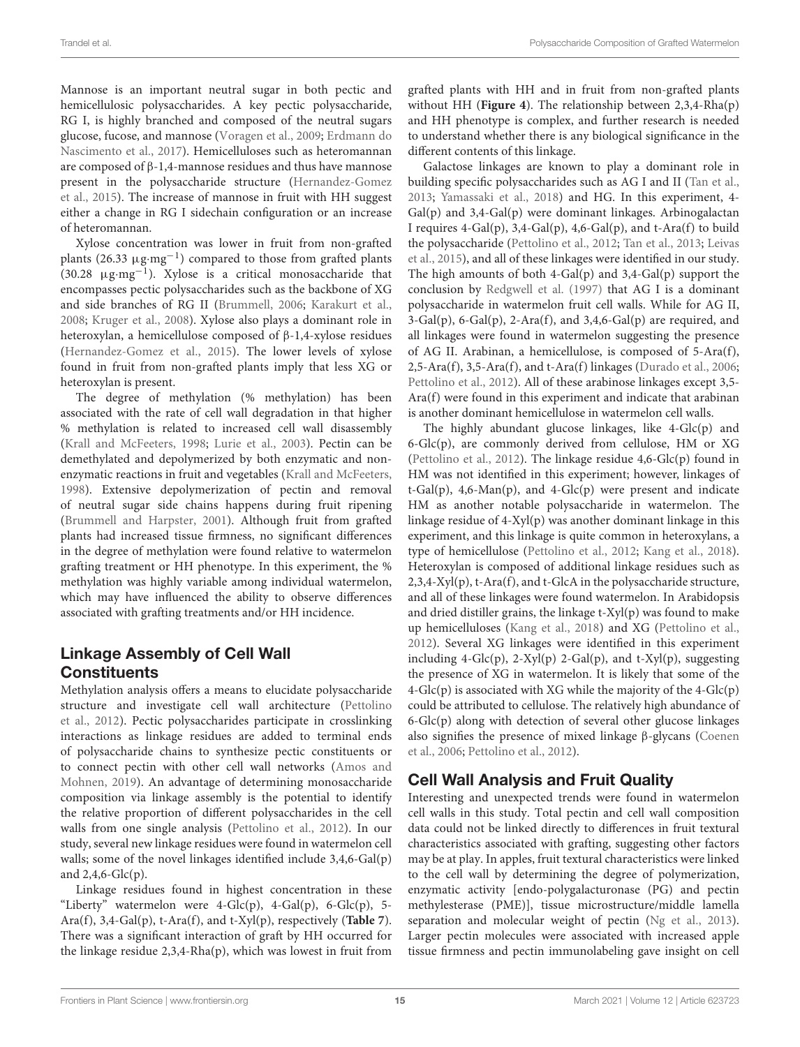Mannose is an important neutral sugar in both pectic and hemicellulosic polysaccharides. A key pectic polysaccharide, RG I, is highly branched and composed of the neutral sugars glucose, fucose, and mannose [\(Voragen et al.,](#page-17-33) [2009;](#page-17-33) [Erdmann do](#page-16-35) [Nascimento et al.,](#page-16-35) [2017\)](#page-16-35). Hemicelluloses such as heteromannan are composed of β-1,4-mannose residues and thus have mannose present in the polysaccharide structure [\(Hernandez-Gomez](#page-16-36) [et al.,](#page-16-36) [2015\)](#page-16-36). The increase of mannose in fruit with HH suggest either a change in RG I sidechain configuration or an increase of heteromannan.

Xylose concentration was lower in fruit from non-grafted plants (26.33 µg·mg−<sup>1</sup> ) compared to those from grafted plants (30.28 µg·mg−<sup>1</sup> ). Xylose is a critical monosaccharide that encompasses pectic polysaccharides such as the backbone of XG and side branches of RG II [\(Brummell,](#page-16-6) [2006;](#page-16-6) [Karakurt et al.,](#page-16-10) [2008;](#page-16-10) [Kruger et al.,](#page-16-32) [2008\)](#page-16-32). Xylose also plays a dominant role in heteroxylan, a hemicellulose composed of β-1,4-xylose residues [\(Hernandez-Gomez et al.,](#page-16-36) [2015\)](#page-16-36). The lower levels of xylose found in fruit from non-grafted plants imply that less XG or heteroxylan is present.

The degree of methylation (% methylation) has been associated with the rate of cell wall degradation in that higher % methylation is related to increased cell wall disassembly [\(Krall and McFeeters,](#page-16-37) [1998;](#page-16-37) [Lurie et al.,](#page-16-38) [2003\)](#page-16-38). Pectin can be demethylated and depolymerized by both enzymatic and nonenzymatic reactions in fruit and vegetables [\(Krall and McFeeters,](#page-16-37) [1998\)](#page-16-37). Extensive depolymerization of pectin and removal of neutral sugar side chains happens during fruit ripening [\(Brummell and Harpster,](#page-16-5) [2001\)](#page-16-5). Although fruit from grafted plants had increased tissue firmness, no significant differences in the degree of methylation were found relative to watermelon grafting treatment or HH phenotype. In this experiment, the % methylation was highly variable among individual watermelon, which may have influenced the ability to observe differences associated with grafting treatments and/or HH incidence.

### Linkage Assembly of Cell Wall **Constituents**

Methylation analysis offers a means to elucidate polysaccharide structure and investigate cell wall architecture [\(Pettolino](#page-17-11) [et al.,](#page-17-11) [2012\)](#page-17-11). Pectic polysaccharides participate in crosslinking interactions as linkage residues are added to terminal ends of polysaccharide chains to synthesize pectic constituents or to connect pectin with other cell wall networks [\(Amos and](#page-15-0) [Mohnen,](#page-15-0) [2019\)](#page-15-0). An advantage of determining monosaccharide composition via linkage assembly is the potential to identify the relative proportion of different polysaccharides in the cell walls from one single analysis [\(Pettolino et al.,](#page-17-11) [2012\)](#page-17-11). In our study, several new linkage residues were found in watermelon cell walls; some of the novel linkages identified include 3,4,6-Gal(p) and  $2,4,6$ -Glc $(p)$ .

Linkage residues found in highest concentration in these "Liberty" watermelon were  $4\text{-}Glc(p)$ ,  $4\text{-}Gal(p)$ ,  $6\text{-}Glc(p)$ ,  $5\text{-}$ Ara(f), 3,4-Gal(p), t-Ara(f), and t-Xyl(p), respectively (**[Table 7](#page-11-0)**). There was a significant interaction of graft by HH occurred for the linkage residue 2,3,4-Rha(p), which was lowest in fruit from

grafted plants with HH and in fruit from non-grafted plants without HH (**[Figure 4](#page-12-0)**). The relationship between 2,3,4-Rha(p) and HH phenotype is complex, and further research is needed to understand whether there is any biological significance in the different contents of this linkage.

Galactose linkages are known to play a dominant role in building specific polysaccharides such as AG I and II [\(Tan et al.,](#page-17-34) [2013;](#page-17-34) [Yamassaki et al.,](#page-17-35) [2018\)](#page-17-35) and HG. In this experiment, 4- Gal(p) and 3,4-Gal(p) were dominant linkages. Arbinogalactan I requires 4-Gal(p), 3,4-Gal(p), 4,6-Gal(p), and t-Ara(f) to build the polysaccharide [\(Pettolino et al.,](#page-17-11) [2012;](#page-17-11) [Tan et al.,](#page-17-34) [2013;](#page-17-34) [Leivas](#page-16-34) [et al.,](#page-16-34) [2015\)](#page-16-34), and all of these linkages were identified in our study. The high amounts of both 4-Gal(p) and 3,4-Gal(p) support the conclusion by [Redgwell et al.](#page-17-36) [\(1997\)](#page-17-36) that AG I is a dominant polysaccharide in watermelon fruit cell walls. While for AG II,  $3-Gal(p)$ ,  $6-Gal(p)$ ,  $2-Ara(f)$ , and  $3,4,6-Gal(p)$  are required, and all linkages were found in watermelon suggesting the presence of AG II. Arabinan, a hemicellulose, is composed of 5-Ara(f), 2,5-Ara(f), 3,5-Ara(f), and t-Ara(f) linkages [\(Durado et al.,](#page-16-39) [2006;](#page-16-39) [Pettolino et al.,](#page-17-11) [2012\)](#page-17-11). All of these arabinose linkages except 3,5- Ara(f) were found in this experiment and indicate that arabinan is another dominant hemicellulose in watermelon cell walls.

The highly abundant glucose linkages, like 4-Glc(p) and 6-Glc(p), are commonly derived from cellulose, HM or XG [\(Pettolino et al.,](#page-17-11) [2012\)](#page-17-11). The linkage residue 4,6-Glc(p) found in HM was not identified in this experiment; however, linkages of t-Gal(p), 4,6-Man(p), and 4-Glc(p) were present and indicate HM as another notable polysaccharide in watermelon. The linkage residue of 4-Xyl(p) was another dominant linkage in this experiment, and this linkage is quite common in heteroxylans, a type of hemicellulose [\(Pettolino et al.,](#page-17-11) [2012;](#page-17-11) [Kang et al.,](#page-16-40) [2018\)](#page-16-40). Heteroxylan is composed of additional linkage residues such as 2,3,4-Xyl(p), t-Ara(f), and t-GlcA in the polysaccharide structure, and all of these linkages were found watermelon. In Arabidopsis and dried distiller grains, the linkage t-Xyl(p) was found to make up hemicelluloses [\(Kang et al.,](#page-16-40) [2018\)](#page-16-40) and XG [\(Pettolino et al.,](#page-17-11) [2012\)](#page-17-11). Several XG linkages were identified in this experiment including  $4\text{-}Glc(p)$ ,  $2\text{-}Xyl(p)$   $2\text{-}Gal(p)$ , and  $t\text{-}Xyl(p)$ , suggesting the presence of XG in watermelon. It is likely that some of the  $4-\text{Glc}(p)$  is associated with XG while the majority of the  $4-\text{Glc}(p)$ could be attributed to cellulose. The relatively high abundance of  $6-\text{Glc}(p)$  along with detection of several other glucose linkages also signifies the presence of mixed linkage β-glycans [\(Coenen](#page-16-41) [et al.,](#page-16-41) [2006;](#page-16-41) [Pettolino et al.,](#page-17-11) [2012\)](#page-17-11).

# Cell Wall Analysis and Fruit Quality

Interesting and unexpected trends were found in watermelon cell walls in this study. Total pectin and cell wall composition data could not be linked directly to differences in fruit textural characteristics associated with grafting, suggesting other factors may be at play. In apples, fruit textural characteristics were linked to the cell wall by determining the degree of polymerization, enzymatic activity [endo-polygalacturonase (PG) and pectin methylesterase (PME)], tissue microstructure/middle lamella separation and molecular weight of pectin [\(Ng et al.,](#page-17-6) [2013\)](#page-17-6). Larger pectin molecules were associated with increased apple tissue firmness and pectin immunolabeling gave insight on cell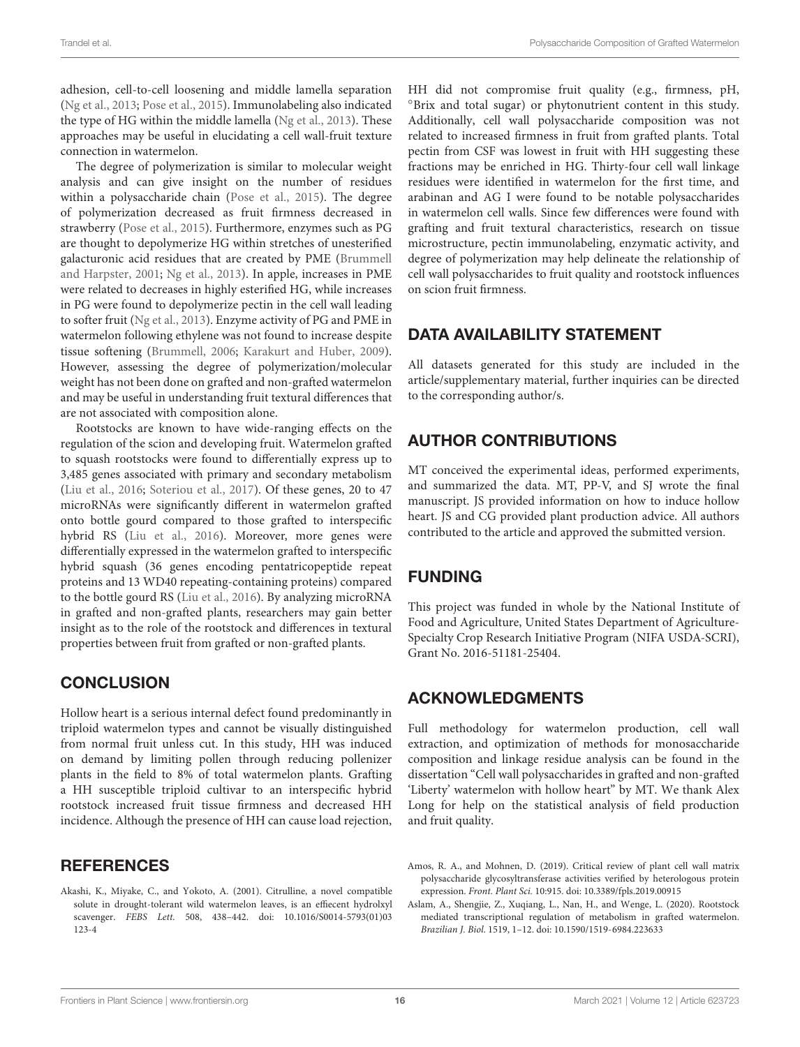adhesion, cell-to-cell loosening and middle lamella separation [\(Ng et al.,](#page-17-6) [2013;](#page-17-6) [Pose et al.,](#page-17-37) [2015\)](#page-17-37). Immunolabeling also indicated the type of HG within the middle lamella [\(Ng et al.,](#page-17-6) [2013\)](#page-17-6). These approaches may be useful in elucidating a cell wall-fruit texture connection in watermelon.

The degree of polymerization is similar to molecular weight analysis and can give insight on the number of residues within a polysaccharide chain [\(Pose et al.,](#page-17-37) [2015\)](#page-17-37). The degree of polymerization decreased as fruit firmness decreased in strawberry [\(Pose et al.,](#page-17-37) [2015\)](#page-17-37). Furthermore, enzymes such as PG are thought to depolymerize HG within stretches of unesterified galacturonic acid residues that are created by PME [\(Brummell](#page-16-5) [and Harpster,](#page-16-5) [2001;](#page-16-5) [Ng et al.,](#page-17-6) [2013\)](#page-17-6). In apple, increases in PME were related to decreases in highly esterified HG, while increases in PG were found to depolymerize pectin in the cell wall leading to softer fruit [\(Ng et al.,](#page-17-6) [2013\)](#page-17-6). Enzyme activity of PG and PME in watermelon following ethylene was not found to increase despite tissue softening [\(Brummell,](#page-16-6) [2006;](#page-16-6) [Karakurt and Huber,](#page-16-11) [2009\)](#page-16-11). However, assessing the degree of polymerization/molecular weight has not been done on grafted and non-grafted watermelon and may be useful in understanding fruit textural differences that are not associated with composition alone.

Rootstocks are known to have wide-ranging effects on the regulation of the scion and developing fruit. Watermelon grafted to squash rootstocks were found to differentially express up to 3,485 genes associated with primary and secondary metabolism [\(Liu et al.,](#page-16-27) [2016;](#page-16-27) [Soteriou et al.,](#page-17-4) [2017\)](#page-17-4). Of these genes, 20 to 47 microRNAs were significantly different in watermelon grafted onto bottle gourd compared to those grafted to interspecific hybrid RS [\(Liu et al.,](#page-16-27) [2016\)](#page-16-27). Moreover, more genes were differentially expressed in the watermelon grafted to interspecific hybrid squash (36 genes encoding pentatricopeptide repeat proteins and 13 WD40 repeating-containing proteins) compared to the bottle gourd RS [\(Liu et al.,](#page-16-27) [2016\)](#page-16-27). By analyzing microRNA in grafted and non-grafted plants, researchers may gain better insight as to the role of the rootstock and differences in textural properties between fruit from grafted or non-grafted plants.

#### **CONCLUSION**

Hollow heart is a serious internal defect found predominantly in triploid watermelon types and cannot be visually distinguished from normal fruit unless cut. In this study, HH was induced on demand by limiting pollen through reducing pollenizer plants in the field to 8% of total watermelon plants. Grafting a HH susceptible triploid cultivar to an interspecific hybrid rootstock increased fruit tissue firmness and decreased HH incidence. Although the presence of HH can cause load rejection,

#### **REFERENCES**

<span id="page-15-1"></span>Akashi, K., Miyake, C., and Yokoto, A. (2001). Citrulline, a novel compatible solute in drought-tolerant wild watermelon leaves, is an effiecent hydrolxyl scavenger. FEBS Lett. 508, 438–442. [doi: 10.1016/S0014-5793\(01\)03](https://doi.org/10.1016/S0014-5793(01)03123-4) [123-4](https://doi.org/10.1016/S0014-5793(01)03123-4)

HH did not compromise fruit quality (e.g., firmness, pH, ◦Brix and total sugar) or phytonutrient content in this study. Additionally, cell wall polysaccharide composition was not related to increased firmness in fruit from grafted plants. Total pectin from CSF was lowest in fruit with HH suggesting these fractions may be enriched in HG. Thirty-four cell wall linkage residues were identified in watermelon for the first time, and arabinan and AG I were found to be notable polysaccharides in watermelon cell walls. Since few differences were found with grafting and fruit textural characteristics, research on tissue microstructure, pectin immunolabeling, enzymatic activity, and degree of polymerization may help delineate the relationship of cell wall polysaccharides to fruit quality and rootstock influences on scion fruit firmness.

# DATA AVAILABILITY STATEMENT

All datasets generated for this study are included in the article/supplementary material, further inquiries can be directed to the corresponding author/s.

# AUTHOR CONTRIBUTIONS

MT conceived the experimental ideas, performed experiments, and summarized the data. MT, PP-V, and SJ wrote the final manuscript. JS provided information on how to induce hollow heart. JS and CG provided plant production advice. All authors contributed to the article and approved the submitted version.

#### FUNDING

This project was funded in whole by the National Institute of Food and Agriculture, United States Department of Agriculture-Specialty Crop Research Initiative Program (NIFA USDA-SCRI), Grant No. 2016-51181-25404.

#### ACKNOWLEDGMENTS

Full methodology for watermelon production, cell wall extraction, and optimization of methods for monosaccharide composition and linkage residue analysis can be found in the dissertation "Cell wall polysaccharides in grafted and non-grafted 'Liberty' watermelon with hollow heart" by MT. We thank Alex Long for help on the statistical analysis of field production and fruit quality.

- <span id="page-15-0"></span>Amos, R. A., and Mohnen, D. (2019). Critical review of plant cell wall matrix polysaccharide glycosyltransferase activities verified by heterologous protein expression. Front. Plant Sci. 10:915. [doi: 10.3389/fpls.2019.00915](https://doi.org/10.3389/fpls.2019.00915)
- <span id="page-15-2"></span>Aslam, A., Shengjie, Z., Xuqiang, L., Nan, H., and Wenge, L. (2020). Rootstock mediated transcriptional regulation of metabolism in grafted watermelon. Brazilian J. Biol. 1519, 1–12. [doi: 10.1590/1519-6984.223633](https://doi.org/10.1590/1519-6984.223633)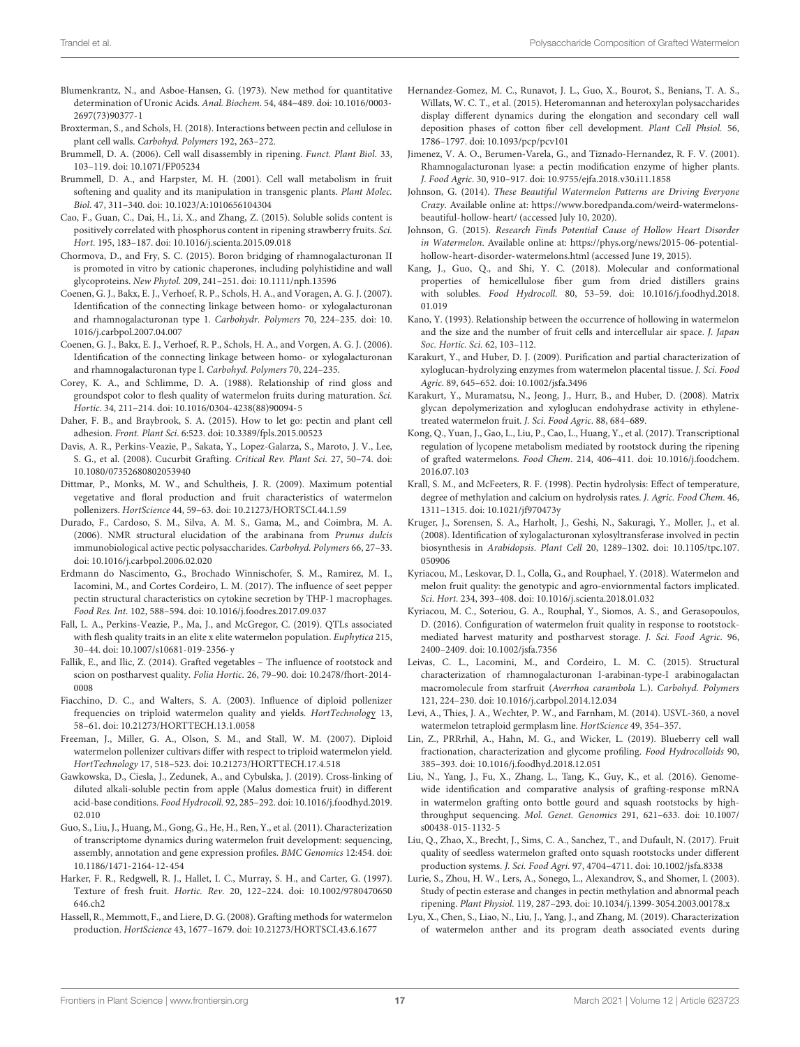- <span id="page-16-15"></span>Blumenkrantz, N., and Asboe-Hansen, G. (1973). New method for quantitative determination of Uronic Acids. Anal. Biochem. 54, 484–489. [doi: 10.1016/0003-](https://doi.org/10.1016/0003-2697(73)90377-1) [2697\(73\)90377-1](https://doi.org/10.1016/0003-2697(73)90377-1)
- <span id="page-16-30"></span>Broxterman, S., and Schols, H. (2018). Interactions between pectin and cellulose in plant cell walls. Carbohyd. Polymers 192, 263–272.
- <span id="page-16-6"></span>Brummell, D. A. (2006). Cell wall disassembly in ripening. Funct. Plant Biol. 33, 103–119. [doi: 10.1071/FP05234](https://doi.org/10.1071/FP05234)
- <span id="page-16-5"></span>Brummell, D. A., and Harpster, M. H. (2001). Cell wall metabolism in fruit softening and quality and its manipulation in transgenic plants. Plant Molec. Biol. 47, 311–340. [doi: 10.1023/A:1010656104304](https://doi.org/10.1023/A:1010656104304)
- <span id="page-16-25"></span>Cao, F., Guan, C., Dai, H., Li, X., and Zhang, Z. (2015). Soluble solids content is positively correlated with phosphorus content in ripening strawberry fruits. Sci. Hort. 195, 183–187. [doi: 10.1016/j.scienta.2015.09.018](https://doi.org/10.1016/j.scienta.2015.09.018)
- <span id="page-16-26"></span>Chormova, D., and Fry, S. C. (2015). Boron bridging of rhamnogalacturonan II is promoted in vitro by cationic chaperones, including polyhistidine and wall glycoproteins. New Phytol. 209, 241–251. [doi: 10.1111/nph.13596](https://doi.org/10.1111/nph.13596)
- <span id="page-16-33"></span>Coenen, G. J., Bakx, E. J., Verhoef, R. P., Schols, H. A., and Voragen, A. G. J. (2007). Identification of the connecting linkage between homo- or xylogalacturonan and rhamnogalacturonan type 1. Carbohydr. Polymers 70, 224–235. [doi: 10.](https://doi.org/10.1016/j.carbpol.2007.04.007) [1016/j.carbpol.2007.04.007](https://doi.org/10.1016/j.carbpol.2007.04.007)
- <span id="page-16-41"></span>Coenen, G. J., Bakx, E. J., Verhoef, R. P., Schols, H. A., and Vorgen, A. G. J. (2006). Identification of the connecting linkage between homo- or xylogalacturonan and rhamnogalacturonan type I. Carbohyd. Polymers 70, 224–235.
- <span id="page-16-23"></span>Corey, K. A., and Schlimme, D. A. (1988). Relationship of rind gloss and groundspot color to flesh quality of watermelon fruits during maturation. Sci. Hortic. 34, 211–214. [doi: 10.1016/0304-4238\(88\)90094-5](https://doi.org/10.1016/0304-4238(88)90094-5)
- <span id="page-16-7"></span>Daher, F. B., and Braybrook, S. A. (2015). How to let go: pectin and plant cell adhesion. Front. Plant Sci. 6:523. [doi: 10.3389/fpls.2015.00523](https://doi.org/10.3389/fpls.2015.00523)
- <span id="page-16-20"></span>Davis, A. R., Perkins-Veazie, P., Sakata, Y., Lopez-Galarza, S., Maroto, J. V., Lee, S. G., et al. (2008). Cucurbit Grafting. Critical Rev. Plant Sci. 27, 50–74. [doi:](https://doi.org/10.1080/07352680802053940) [10.1080/07352680802053940](https://doi.org/10.1080/07352680802053940)
- <span id="page-16-17"></span>Dittmar, P., Monks, M. W., and Schultheis, J. R. (2009). Maximum potential vegetative and floral production and fruit characteristics of watermelon pollenizers. HortScience 44, 59–63. [doi: 10.21273/HORTSCI.44.1.59](https://doi.org/10.21273/HORTSCI.44.1.59)
- <span id="page-16-39"></span>Durado, F., Cardoso, S. M., Silva, A. M. S., Gama, M., and Coimbra, M. A. (2006). NMR structural elucidation of the arabinana from Prunus dulcis immunobiological active pectic polysaccharides. Carbohyd. Polymers 66, 27–33. [doi: 10.1016/j.carbpol.2006.02.020](https://doi.org/10.1016/j.carbpol.2006.02.020)
- <span id="page-16-35"></span>Erdmann do Nascimento, G., Brochado Winnischofer, S. M., Ramirez, M. I., Iacomini, M., and Cortes Cordeiro, L. M. (2017). The influence of seet pepper pectin structural characteristics on cytokine secretion by THP-1 macrophages. Food Res. Int. 102, 588–594. [doi: 10.1016/j.foodres.2017.09.037](https://doi.org/10.1016/j.foodres.2017.09.037)
- <span id="page-16-14"></span>Fall, L. A., Perkins-Veazie, P., Ma, J., and McGregor, C. (2019). QTLs associated with flesh quality traits in an elite x elite watermelon population. Euphytica 215, 30–44. [doi: 10.1007/s10681-019-2356-y](https://doi.org/10.1007/s10681-019-2356-y)
- <span id="page-16-21"></span>Fallik, E., and Ilic, Z. (2014). Grafted vegetables – The influence of rootstock and scion on postharvest quality. Folia Hortic. 26, 79–90. [doi: 10.2478/fhort-2014-](https://doi.org/10.2478/fhort-2014-0008) [0008](https://doi.org/10.2478/fhort-2014-0008)
- <span id="page-16-16"></span>Fiacchino, D. C., and Walters, S. A. (2003). Influence of diploid pollenizer frequencies on triploid watermelon quality and yields. HortTechnology 13, 58–61. [doi: 10.21273/HORTTECH.13.1.0058](https://doi.org/10.21273/HORTTECH.13.1.0058)
- <span id="page-16-3"></span>Freeman, J., Miller, G. A., Olson, S. M., and Stall, W. M. (2007). Diploid watermelon pollenizer cultivars differ with respect to triploid watermelon yield. HortTechnology 17, 518–523. [doi: 10.21273/HORTTECH.17.4.518](https://doi.org/10.21273/HORTTECH.17.4.518)
- <span id="page-16-29"></span>Gawkowska, D., Ciesla, J., Zedunek, A., and Cybulska, J. (2019). Cross-linking of diluted alkali-soluble pectin from apple (Malus domestica fruit) in different acid-base conditions. Food Hydrocoll. 92, 285–292. [doi: 10.1016/j.foodhyd.2019.](https://doi.org/10.1016/j.foodhyd.2019.02.010) [02.010](https://doi.org/10.1016/j.foodhyd.2019.02.010)
- <span id="page-16-9"></span>Guo, S., Liu, J., Huang, M., Gong, G., He, H., Ren, Y., et al. (2011). Characterization of transcriptome dynamics during watermelon fruit development: sequencing, assembly, annotation and gene expression profiles. BMC Genomics 12:454. [doi:](https://doi.org/10.1186/1471-2164-12-454) [10.1186/1471-2164-12-454](https://doi.org/10.1186/1471-2164-12-454)
- <span id="page-16-8"></span>Harker, F. R., Redgwell, R. J., Hallet, I. C., Murray, S. H., and Carter, G. (1997). Texture of fresh fruit. Hortic. Rev. 20, 122–224. [doi: 10.1002/9780470650](https://doi.org/10.1002/9780470650646.ch2) [646.ch2](https://doi.org/10.1002/9780470650646.ch2)
- <span id="page-16-13"></span>Hassell, R., Memmott, F., and Liere, D. G. (2008). Grafting methods for watermelon production. HortScience 43, 1677–1679. [doi: 10.21273/HORTSCI.43.6.1677](https://doi.org/10.21273/HORTSCI.43.6.1677)
- <span id="page-16-36"></span>Hernandez-Gomez, M. C., Runavot, J. L., Guo, X., Bourot, S., Benians, T. A. S., Willats, W. C. T., et al. (2015). Heteromannan and heteroxylan polysaccharides display different dynamics during the elongation and secondary cell wall deposition phases of cotton fiber cell development. Plant Cell Phsiol. 56, 1786–1797. [doi: 10.1093/pcp/pcv101](https://doi.org/10.1093/pcp/pcv101)
- <span id="page-16-31"></span>Jimenez, V. A. O., Berumen-Varela, G., and Tiznado-Hernandez, R. F. V. (2001). Rhamnogalacturonan lyase: a pectin modification enzyme of higher plants. J. Food Agric. 30, 910–917. [doi: 10.9755/ejfa.2018.v30.i11.1858](https://doi.org/10.9755/ejfa.2018.v30.i11.1858)
- <span id="page-16-1"></span>Johnson, G. (2014). These Beautiful Watermelon Patterns are Driving Everyone Crazy. Available online at: [https://www.boredpanda.com/weird-watermelons](https://www.boredpanda.com/weird-watermelons-beautiful-hollow-heart/)[beautiful-hollow-heart/](https://www.boredpanda.com/weird-watermelons-beautiful-hollow-heart/) (accessed July 10, 2020).
- <span id="page-16-2"></span>Johnson, G. (2015). Research Finds Potential Cause of Hollow Heart Disorder in Watermelon. Available online at: [https://phys.org/news/2015-06-potential](https://phys.org/news/2015-06-potential-hollow-heart-disorder-watermelons.html)[hollow-heart-disorder-watermelons.html](https://phys.org/news/2015-06-potential-hollow-heart-disorder-watermelons.html) (accessed June 19, 2015).
- <span id="page-16-40"></span>Kang, J., Guo, Q., and Shi, Y. C. (2018). Molecular and conformational properties of hemicellulose fiber gum from dried distillers grains with solubles. Food Hydrocoll. 80, 53–59. [doi: 10.1016/j.foodhyd.2018.](https://doi.org/10.1016/j.foodhyd.2018.01.019) [01.019](https://doi.org/10.1016/j.foodhyd.2018.01.019)
- <span id="page-16-4"></span>Kano, Y. (1993). Relationship between the occurrence of hollowing in watermelon and the size and the number of fruit cells and intercellular air space. J. Japan Soc. Hortic. Sci. 62, 103–112.
- <span id="page-16-11"></span>Karakurt, Y., and Huber, D. J. (2009). Purification and partial characterization of xyloglucan-hydrolyzing enzymes from watermelon placental tissue. J. Sci. Food Agric. 89, 645–652. [doi: 10.1002/jsfa.3496](https://doi.org/10.1002/jsfa.3496)
- <span id="page-16-10"></span>Karakurt, Y., Muramatsu, N., Jeong, J., Hurr, B., and Huber, D. (2008). Matrix glycan depolymerization and xyloglucan endohydrase activity in ethylenetreated watermelon fruit. J. Sci. Food Agric. 88, 684–689.
- <span id="page-16-19"></span>Kong, Q., Yuan, J., Gao, L., Liu, P., Cao, L., Huang, Y., et al. (2017). Transcriptional regulation of lycopene metabolism mediated by rootstock during the ripening of grafted watermelons. Food Chem. 214, 406–411. [doi: 10.1016/j.foodchem.](https://doi.org/10.1016/j.foodchem.2016.07.103) [2016.07.103](https://doi.org/10.1016/j.foodchem.2016.07.103)
- <span id="page-16-37"></span>Krall, S. M., and McFeeters, R. F. (1998). Pectin hydrolysis: Effect of temperature, degree of methylation and calcium on hydrolysis rates. J. Agric. Food Chem. 46, 1311–1315. [doi: 10.1021/jf970473y](https://doi.org/10.1021/jf970473y)
- <span id="page-16-32"></span>Kruger, J., Sorensen, S. A., Harholt, J., Geshi, N., Sakuragi, Y., Moller, J., et al. (2008). Identification of xylogalacturonan xylosyltransferase involved in pectin biosynthesis in Arabidopsis. Plant Cell 20, 1289–1302. [doi: 10.1105/tpc.107.](https://doi.org/10.1105/tpc.107.050906) [050906](https://doi.org/10.1105/tpc.107.050906)
- <span id="page-16-24"></span>Kyriacou, M., Leskovar, D. I., Colla, G., and Rouphael, Y. (2018). Watermelon and melon fruit quality: the genotypic and agro-enviornmental factors implicated. Sci. Hort. 234, 393–408. [doi: 10.1016/j.scienta.2018.01.032](https://doi.org/10.1016/j.scienta.2018.01.032)
- <span id="page-16-22"></span>Kyriacou, M. C., Soteriou, G. A., Rouphal, Y., Siomos, A. S., and Gerasopoulos, D. (2016). Configuration of watermelon fruit quality in response to rootstockmediated harvest maturity and postharvest storage. J. Sci. Food Agric. 96, 2400–2409. [doi: 10.1002/jsfa.7356](https://doi.org/10.1002/jsfa.7356)
- <span id="page-16-34"></span>Leivas, C. L., Lacomini, M., and Cordeiro, L. M. C. (2015). Structural characterization of rhamnogalacturonan I-arabinan-type-I arabinogalactan macromolecule from starfruit (Averrhoa carambola L.). Carbohyd. Polymers 121, 224–230. [doi: 10.1016/j.carbpol.2014.12.034](https://doi.org/10.1016/j.carbpol.2014.12.034)
- <span id="page-16-0"></span>Levi, A., Thies, J. A., Wechter, P. W., and Farnham, M. (2014). USVL-360, a novel watermelon tetraploid germplasm line. HortScience 49, 354–357.
- <span id="page-16-28"></span>Lin, Z., PRRrhil, A., Hahn, M. G., and Wicker, L. (2019). Blueberry cell wall fractionation, characterization and glycome profiling. Food Hydrocolloids 90, 385–393. [doi: 10.1016/j.foodhyd.2018.12.051](https://doi.org/10.1016/j.foodhyd.2018.12.051)
- <span id="page-16-27"></span>Liu, N., Yang, J., Fu, X., Zhang, L., Tang, K., Guy, K., et al. (2016). Genomewide identification and comparative analysis of grafting-response mRNA in watermelon grafting onto bottle gourd and squash rootstocks by highthroughput sequencing. Mol. Genet. Genomics 291, 621–633. [doi: 10.1007/](https://doi.org/10.1007/s00438-015-1132-5) [s00438-015-1132-5](https://doi.org/10.1007/s00438-015-1132-5)
- <span id="page-16-12"></span>Liu, Q., Zhao, X., Brecht, J., Sims, C. A., Sanchez, T., and Dufault, N. (2017). Fruit quality of seedless watermelon grafted onto squash rootstocks under different production systems. J. Sci. Food Agri. 97, 4704–4711. [doi: 10.1002/jsfa.8338](https://doi.org/10.1002/jsfa.8338)
- <span id="page-16-38"></span>Lurie, S., Zhou, H. W., Lers, A., Sonego, L., Alexandrov, S., and Shomer, I. (2003). Study of pectin esterase and changes in pectin methylation and abnormal peach ripening. Plant Physiol. 119, 287–293. [doi: 10.1034/j.1399-3054.2003.00178.x](https://doi.org/10.1034/j.1399-3054.2003.00178.x)
- <span id="page-16-18"></span>Lyu, X., Chen, S., Liao, N., Liu, J., Yang, J., and Zhang, M. (2019). Characterization of watermelon anther and its program death associated events during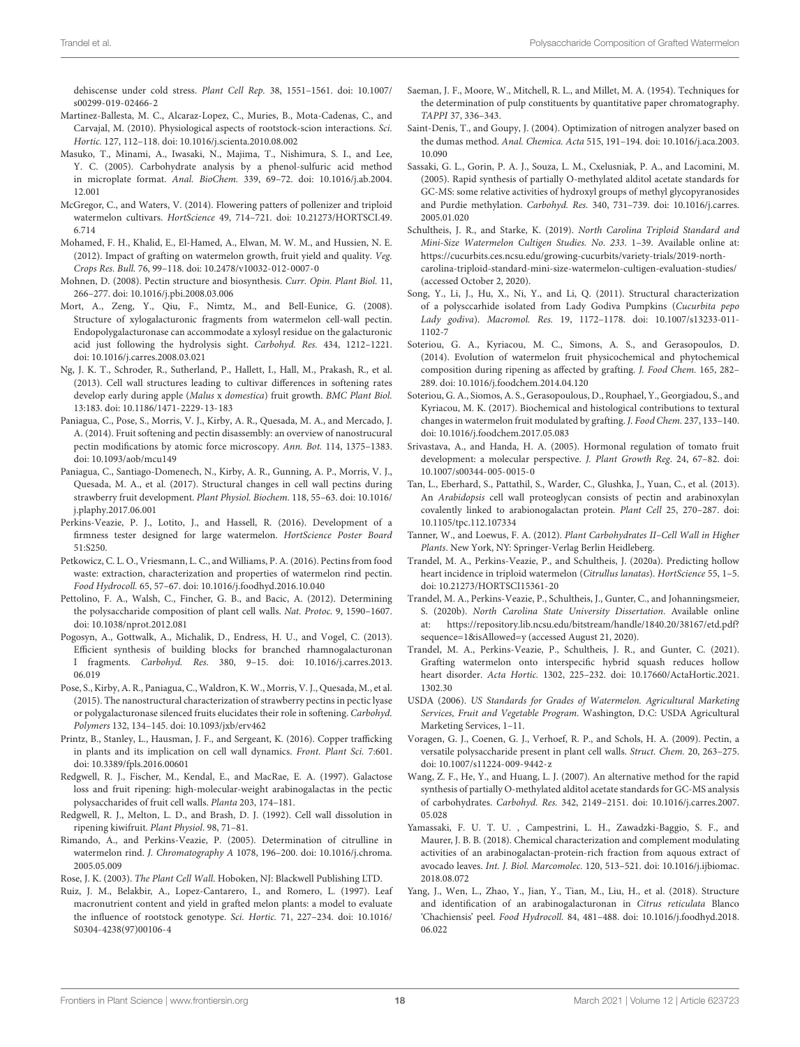dehiscense under cold stress. Plant Cell Rep. 38, 1551–1561. [doi: 10.1007/](https://doi.org/10.1007/s00299-019-02466-2) [s00299-019-02466-2](https://doi.org/10.1007/s00299-019-02466-2)

- <span id="page-17-24"></span>Martinez-Ballesta, M. C., Alcaraz-Lopez, C., Muries, B., Mota-Cadenas, C., and Carvajal, M. (2010). Physiological aspects of rootstock-scion interactions. Sci. Hortic. 127, 112–118. [doi: 10.1016/j.scienta.2010.08.002](https://doi.org/10.1016/j.scienta.2010.08.002)
- <span id="page-17-17"></span>Masuko, T., Minami, A., Iwasaki, N., Majima, T., Nishimura, S. I., and Lee, Y. C. (2005). Carbohydrate analysis by a phenol-sulfuric acid method in microplate format. Anal. BioChem. 339, 69–72. [doi: 10.1016/j.ab.2004.](https://doi.org/10.1016/j.ab.2004.12.001) [12.001](https://doi.org/10.1016/j.ab.2004.12.001)
- <span id="page-17-20"></span>McGregor, C., and Waters, V. (2014). Flowering patters of pollenizer and triploid watermelon cultivars. HortScience 49, 714–721. [doi: 10.21273/HORTSCI.49.](https://doi.org/10.21273/HORTSCI.49.6.714) [6.714](https://doi.org/10.21273/HORTSCI.49.6.714)
- <span id="page-17-2"></span>Mohamed, F. H., Khalid, E., El-Hamed, A., Elwan, M. W. M., and Hussien, N. E. (2012). Impact of grafting on watermelon growth, fruit yield and quality. Veg. Crops Res. Bull. 76, 99–118. [doi: 10.2478/v10032-012-0007-0](https://doi.org/10.2478/v10032-012-0007-0)
- <span id="page-17-30"></span>Mohnen, D. (2008). Pectin structure and biosynthesis. Curr. Opin. Plant Biol. 11, 266–277. [doi: 10.1016/j.pbi.2008.03.006](https://doi.org/10.1016/j.pbi.2008.03.006)
- <span id="page-17-8"></span>Mort, A., Zeng, Y., Qiu, F., Nimtz, M., and Bell-Eunice, G. (2008). Structure of xylogalacturonic fragments from watermelon cell-wall pectin. Endopolygalacturonase can accommodate a xylosyl residue on the galacturonic acid just following the hydrolysis sight. Carbohyd. Res. 434, 1212–1221. [doi: 10.1016/j.carres.2008.03.021](https://doi.org/10.1016/j.carres.2008.03.021)
- <span id="page-17-6"></span>Ng, J. K. T., Schroder, R., Sutherland, P., Hallett, I., Hall, M., Prakash, R., et al. (2013). Cell wall structures leading to cultivar differences in softening rates develop early during apple (Malus x domestica) fruit growth. BMC Plant Biol. 13:183. [doi: 10.1186/1471-2229-13-183](https://doi.org/10.1186/1471-2229-13-183)
- <span id="page-17-10"></span>Paniagua, C., Pose, S., Morris, V. J., Kirby, A. R., Quesada, M. A., and Mercado, J. A. (2014). Fruit softening and pectin disassembly: an overview of nanostrucural pectin modifications by atomic force microscopy. Ann. Bot. 114, 1375–1383. [doi: 10.1093/aob/mcu149](https://doi.org/10.1093/aob/mcu149)
- <span id="page-17-27"></span>Paniagua, C., Santiago-Domenech, N., Kirby, A. R., Gunning, A. P., Morris, V. J., Quesada, M. A., et al. (2017). Structural changes in cell wall pectins during strawberry fruit development. Plant Physiol. Biochem. 118, 55–63. [doi: 10.1016/](https://doi.org/10.1016/j.plaphy.2017.06.001) [j.plaphy.2017.06.001](https://doi.org/10.1016/j.plaphy.2017.06.001)
- <span id="page-17-15"></span>Perkins-Veazie, P. J., Lotito, J., and Hassell, R. (2016). Development of a firmness tester designed for large watermelon. HortScience Poster Board 51:S250.
- <span id="page-17-31"></span>Petkowicz, C. L. O., Vriesmann, L. C., and Williams, P. A. (2016). Pectins from food waste: extraction, characterization and properties of watermelon rind pectin. Food Hydrocoll. 65, 57–67. [doi: 10.1016/j.foodhyd.2016.10.040](https://doi.org/10.1016/j.foodhyd.2016.10.040)
- <span id="page-17-11"></span>Pettolino, F. A., Walsh, C., Fincher, G. B., and Bacic, A. (2012). Determining the polysaccharide composition of plant cell walls. Nat. Protoc. 9, 1590–1607. [doi: 10.1038/nprot.2012.081](https://doi.org/10.1038/nprot.2012.081)
- <span id="page-17-32"></span>Pogosyn, A., Gottwalk, A., Michalik, D., Endress, H. U., and Vogel, C. (2013). Efficient synthesis of building blocks for branched rhamnogalacturonan I fragments. Carbohyd. Res. 380, 9–15. [doi: 10.1016/j.carres.2013.](https://doi.org/10.1016/j.carres.2013.06.019) [06.019](https://doi.org/10.1016/j.carres.2013.06.019)
- <span id="page-17-37"></span>Pose, S., Kirby, A. R., Paniagua, C., Waldron, K. W., Morris, V. J., Quesada, M., et al. (2015). The nanostructural characterization of strawberry pectins in pectic lyase or polygalacturonase silenced fruits elucidates their role in softening. Carbohyd. Polymers 132, 134–145. [doi: 10.1093/jxb/erv462](https://doi.org/10.1093/jxb/erv462)
- <span id="page-17-26"></span>Printz, B., Stanley, L., Hausman, J. F., and Sergeant, K. (2016). Copper trafficking in plants and its implication on cell wall dynamics. Front. Plant Sci. 7:601. [doi: 10.3389/fpls.2016.00601](https://doi.org/10.3389/fpls.2016.00601)
- <span id="page-17-36"></span>Redgwell, R. J., Fischer, M., Kendal, E., and MacRae, E. A. (1997). Galactose loss and fruit ripening: high-molecular-weight arabinogalactas in the pectic polysaccharides of fruit cell walls. Planta 203, 174–181.
- <span id="page-17-29"></span>Redgwell, R. J., Melton, L. D., and Brash, D. J. (1992). Cell wall dissolution in ripening kiwifruit. Plant Physiol. 98, 71–81.
- <span id="page-17-22"></span>Rimando, A., and Perkins-Veazie, P. (2005). Determination of citrulline in watermelon rind. J. Chromatography A 1078, 196–200. [doi: 10.1016/j.chroma.](https://doi.org/10.1016/j.chroma.2005.05.009) [2005.05.009](https://doi.org/10.1016/j.chroma.2005.05.009)
- <span id="page-17-5"></span>Rose, J. K. (2003). The Plant Cell Wall. Hoboken, NJ: Blackwell Publishing LTD.
- <span id="page-17-23"></span>Ruiz, J. M., Belakbir, A., Lopez-Cantarero, I., and Romero, L. (1997). Leaf macronutrient content and yield in grafted melon plants: a model to evaluate the influence of rootstock genotype. Sci. Hortic. 71, 227–234. [doi: 10.1016/](https://doi.org/10.1016/S0304-4238(97)00106-4) [S0304-4238\(97\)00106-4](https://doi.org/10.1016/S0304-4238(97)00106-4)
- <span id="page-17-12"></span>Saeman, J. F., Moore, W., Mitchell, R. L., and Millet, M. A. (1954). Techniques for the determination of pulp constituents by quantitative paper chromatography. TAPPI 37, 336–343.
- <span id="page-17-16"></span>Saint-Denis, T., and Goupy, J. (2004). Optimization of nitrogen analyzer based on the dumas method. Anal. Chemica. Acta 515, 191–194. [doi: 10.1016/j.aca.2003.](https://doi.org/10.1016/j.aca.2003.10.090) [10.090](https://doi.org/10.1016/j.aca.2003.10.090)
- <span id="page-17-18"></span>Sassaki, G. L., Gorin, P. A. J., Souza, L. M., Cxelusniak, P. A., and Lacomini, M. (2005). Rapid synthesis of partially O-methylated alditol acetate standards for GC-MS: some relative activities of hydroxyl groups of methyl glycopyranosides and Purdie methylation. Carbohyd. Res. 340, 731–739. [doi: 10.1016/j.carres.](https://doi.org/10.1016/j.carres.2005.01.020) [2005.01.020](https://doi.org/10.1016/j.carres.2005.01.020)
- <span id="page-17-13"></span>Schultheis, J. R., and Starke, K. (2019). North Carolina Triploid Standard and Mini-Size Watermelon Cultigen Studies. No. 233. 1–39. Available online at: [https://cucurbits.ces.ncsu.edu/growing-cucurbits/variety-trials/2019-north](https://cucurbits.ces.ncsu.edu/growing-cucurbits/variety-trials/2019-north-carolina-triploid-standard-mini-size-watermelon-cultigen-evaluation-studies/)[carolina-triploid-standard-mini-size-watermelon-cultigen-evaluation-studies/](https://cucurbits.ces.ncsu.edu/growing-cucurbits/variety-trials/2019-north-carolina-triploid-standard-mini-size-watermelon-cultigen-evaluation-studies/) (accessed October 2, 2020).
- <span id="page-17-9"></span>Song, Y., Li, J., Hu, X., Ni, Y., and Li, Q. (2011). Structural characterization of a polysccarhide isolated from Lady Godiva Pumpkins (Cucurbita pepo Lady godiva). Macromol. Res. 19, 1172–1178. [doi: 10.1007/s13233-011-](https://doi.org/10.1007/s13233-011-1102-7) [1102-7](https://doi.org/10.1007/s13233-011-1102-7)
- <span id="page-17-3"></span>Soteriou, G. A., Kyriacou, M. C., Simons, A. S., and Gerasopoulos, D. (2014). Evolution of watermelon fruit physicochemical and phytochemical composition during ripening as affected by grafting. J. Food Chem. 165, 282– 289. [doi: 10.1016/j.foodchem.2014.04.120](https://doi.org/10.1016/j.foodchem.2014.04.120)
- <span id="page-17-4"></span>Soteriou, G. A., Siomos, A. S., Gerasopoulous, D., Rouphael, Y., Georgiadou, S., and Kyriacou, M. K. (2017). Biochemical and histological contributions to textural changes in watermelon fruit modulated by grafting. J. Food Chem. 237, 133–140. [doi: 10.1016/j.foodchem.2017.05.083](https://doi.org/10.1016/j.foodchem.2017.05.083)
- <span id="page-17-28"></span>Srivastava, A., and Handa, H. A. (2005). Hormonal regulation of tomato fruit development: a molecular perspective. J. Plant Growth Reg. 24, 67–82. [doi:](https://doi.org/10.1007/s00344-005-0015-0) [10.1007/s00344-005-0015-0](https://doi.org/10.1007/s00344-005-0015-0)
- <span id="page-17-34"></span>Tan, L., Eberhard, S., Pattathil, S., Warder, C., Glushka, J., Yuan, C., et al. (2013). An Arabidopsis cell wall proteoglycan consists of pectin and arabinoxylan covalently linked to arabionogalactan protein. Plant Cell 25, 270–287. [doi:](https://doi.org/10.1105/tpc.112.107334) [10.1105/tpc.112.107334](https://doi.org/10.1105/tpc.112.107334)
- <span id="page-17-7"></span>Tanner, W., and Loewus, F. A. (2012). Plant Carbohydrates II–Cell Wall in Higher Plants. New York, NY: Springer-Verlag Berlin Heidleberg.
- <span id="page-17-0"></span>Trandel, M. A., Perkins-Veazie, P., and Schultheis, J. (2020a). Predicting hollow heart incidence in triploid watermelon (Citrullus lanatas). HortScience 55, 1–5. [doi: 10.21273/HORTSCI15361-20](https://doi.org/10.21273/HORTSCI15361-20)
- <span id="page-17-1"></span>Trandel, M. A., Perkins-Veazie, P., Schultheis, J., Gunter, C., and Johanningsmeier, S. (2020b). North Carolina State University Dissertation. Available online at: [https://repository.lib.ncsu.edu/bitstream/handle/1840.20/38167/etd.pdf?](https://repository.lib.ncsu.edu/bitstream/handle/1840.20/38167/etd.pdf?sequence=1&isAllowed=y) [sequence=1&isAllowed=y](https://repository.lib.ncsu.edu/bitstream/handle/1840.20/38167/etd.pdf?sequence=1&isAllowed=y) (accessed August 21, 2020).
- <span id="page-17-21"></span>Trandel, M. A., Perkins-Veazie, P., Schultheis, J. R., and Gunter, C. (2021). Grafting watermelon onto interspecific hybrid squash reduces hollow heart disorder. Acta Hortic. 1302, 225–232. [doi: 10.17660/ActaHortic.2021.](https://doi.org/10.17660/ActaHortic.2021.1302.30) [1302.30](https://doi.org/10.17660/ActaHortic.2021.1302.30)
- <span id="page-17-14"></span>USDA (2006). US Standards for Grades of Watermelon. Agricultural Marketing Services, Fruit and Vegetable Program. Washington, D.C: USDA Agricultural Marketing Services, 1–11.
- <span id="page-17-33"></span>Voragen, G. J., Coenen, G. J., Verhoef, R. P., and Schols, H. A. (2009). Pectin, a versatile polysaccharide present in plant cell walls. Struct. Chem. 20, 263–275. [doi: 10.1007/s11224-009-9442-z](https://doi.org/10.1007/s11224-009-9442-z)
- <span id="page-17-19"></span>Wang, Z. F., He, Y., and Huang, L. J. (2007). An alternative method for the rapid synthesis of partially O-methylated alditol acetate standards for GC-MS analysis of carbohydrates. Carbohyd. Res. 342, 2149–2151. [doi: 10.1016/j.carres.2007.](https://doi.org/10.1016/j.carres.2007.05.028) [05.028](https://doi.org/10.1016/j.carres.2007.05.028)
- <span id="page-17-35"></span>Yamassaki, F. U. T. U. , Campestrini, L. H., Zawadzki-Baggio, S. F., and Maurer, J. B. B. (2018). Chemical characterization and complement modulating activities of an arabinogalactan-protein-rich fraction from aquous extract of avocado leaves. Int. J. Biol. Marcomolec. 120, 513–521. [doi: 10.1016/j.ijbiomac.](https://doi.org/10.1016/j.ijbiomac.2018.08.072) [2018.08.072](https://doi.org/10.1016/j.ijbiomac.2018.08.072)
- <span id="page-17-25"></span>Yang, J., Wen, L., Zhao, Y., Jian, Y., Tian, M., Liu, H., et al. (2018). Structure and identification of an arabinogalacturonan in Citrus reticulata Blanco 'Chachiensis' peel. Food Hydrocoll. 84, 481–488. [doi: 10.1016/j.foodhyd.2018.](https://doi.org/10.1016/j.foodhyd.2018.06.022) [06.022](https://doi.org/10.1016/j.foodhyd.2018.06.022)